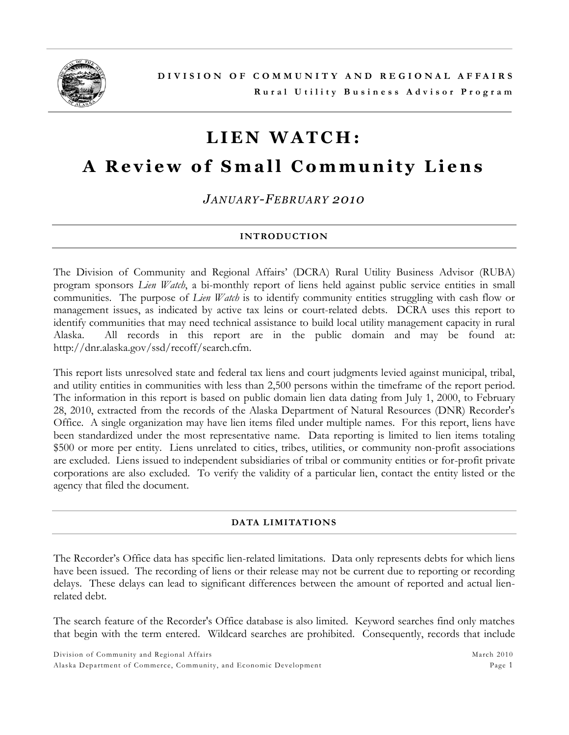

# **L I E N W A T C H :**

# **A Review of Small Community Liens**

*JANUARY-FEBRUARY 2010*

# **INTRODUCTION**

The Division of Community and Regional Affairs' (DCRA) Rural Utility Business Advisor (RUBA) program sponsors *Lien Watch*, a bi-monthly report of liens held against public service entities in small communities. The purpose of *Lien Watch* is to identify community entities struggling with cash flow or management issues, as indicated by active tax leins or court-related debts. DCRA uses this report to identify communities that may need technical assistance to build local utility management capacity in rural Alaska. All records in this report are in the public domain and may be found at: http://dnr.alaska.gov/ssd/recoff/search.cfm.

This report lists unresolved state and federal tax liens and court judgments levied against municipal, tribal, and utility entities in communities with less than 2,500 persons within the timeframe of the report period. The information in this report is based on public domain lien data dating from July 1, 2000, to February 28, 2010, extracted from the records of the Alaska Department of Natural Resources (DNR) Recorder's Office. A single organization may have lien items filed under multiple names. For this report, liens have been standardized under the most representative name. Data reporting is limited to lien items totaling \$500 or more per entity. Liens unrelated to cities, tribes, utilities, or community non-profit associations are excluded. Liens issued to independent subsidiaries of tribal or community entities or for-profit private corporations are also excluded. To verify the validity of a particular lien, contact the entity listed or the agency that filed the document.

### **DATA LIMITATIONS**

The Recorder's Office data has specific lien-related limitations. Data only represents debts for which liens have been issued. The recording of liens or their release may not be current due to reporting or recording delays. These delays can lead to significant differences between the amount of reported and actual lienrelated debt.

The search feature of the Recorder's Office database is also limited. Keyword searches find only matches that begin with the term entered. Wildcard searches are prohibited. Consequently, records that include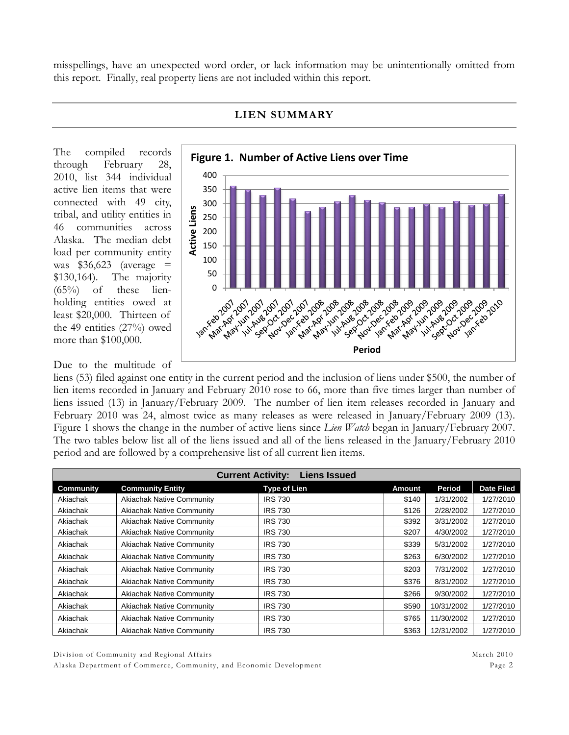misspellings, have an unexpected word order, or lack information may be unintentionally omitted from this report. Finally, real property liens are not included within this report.



## **LIEN SUMMARY**

The compiled records through February 28, 2010, list 344 individual active lien items that were connected with 49 city, tribal, and utility entities in 46 communities across Alaska. The median debt load per community entity was  $$36,623$  (average = \$130,164). The majority  $(65\%)$  of these lienholding entities owed at least \$20,000. Thirteen of the 49 entities (27%) owed more than \$100,000.

## Due to the multitude of

liens (53) filed against one entity in the current period and the inclusion of liens under \$500, the number of lien items recorded in January and February 2010 rose to 66, more than five times larger than number of liens issued (13) in January/February 2009. The number of lien item releases recorded in January and February 2010 was 24, almost twice as many releases as were released in January/February 2009 (13). Figure 1 shows the change in the number of active liens since *Lien Watch* began in January/February 2007. The two tables below list all of the liens issued and all of the liens released in the January/February 2010 period and are followed by a comprehensive list of all current lien items.

|                  |                                  | <b>Liens Issued</b><br><b>Current Activity:</b> |        |            |                   |
|------------------|----------------------------------|-------------------------------------------------|--------|------------|-------------------|
| <b>Community</b> | <b>Community Entity</b>          | <b>Type of Lien</b>                             | Amount | Period     | <b>Date Filed</b> |
| Akiachak         | <b>Akiachak Native Community</b> | <b>IRS 730</b>                                  | \$140  | 1/31/2002  | 1/27/2010         |
| Akiachak         | <b>Akiachak Native Community</b> | <b>IRS 730</b>                                  | \$126  | 2/28/2002  | 1/27/2010         |
| Akiachak         | <b>Akiachak Native Community</b> | <b>IRS 730</b>                                  | \$392  | 3/31/2002  | 1/27/2010         |
| Akiachak         | <b>Akiachak Native Community</b> | <b>IRS 730</b>                                  | \$207  | 4/30/2002  | 1/27/2010         |
| Akiachak         | <b>Akiachak Native Community</b> | <b>IRS 730</b>                                  | \$339  | 5/31/2002  | 1/27/2010         |
| Akiachak         | <b>Akiachak Native Community</b> | <b>IRS 730</b>                                  | \$263  | 6/30/2002  | 1/27/2010         |
| Akiachak         | <b>Akiachak Native Community</b> | <b>IRS 730</b>                                  | \$203  | 7/31/2002  | 1/27/2010         |
| Akiachak         | <b>Akiachak Native Community</b> | <b>IRS 730</b>                                  | \$376  | 8/31/2002  | 1/27/2010         |
| Akiachak         | <b>Akiachak Native Community</b> | <b>IRS 730</b>                                  | \$266  | 9/30/2002  | 1/27/2010         |
| Akiachak         | <b>Akiachak Native Community</b> | <b>IRS 730</b>                                  | \$590  | 10/31/2002 | 1/27/2010         |
| Akiachak         | <b>Akiachak Native Community</b> | <b>IRS 730</b>                                  | \$765  | 11/30/2002 | 1/27/2010         |
| Akiachak         | <b>Akiachak Native Community</b> | <b>IRS 730</b>                                  | \$363  | 12/31/2002 | 1/27/2010         |

Division of Community and Regional Affairs and Affairs March 2010 and March 2010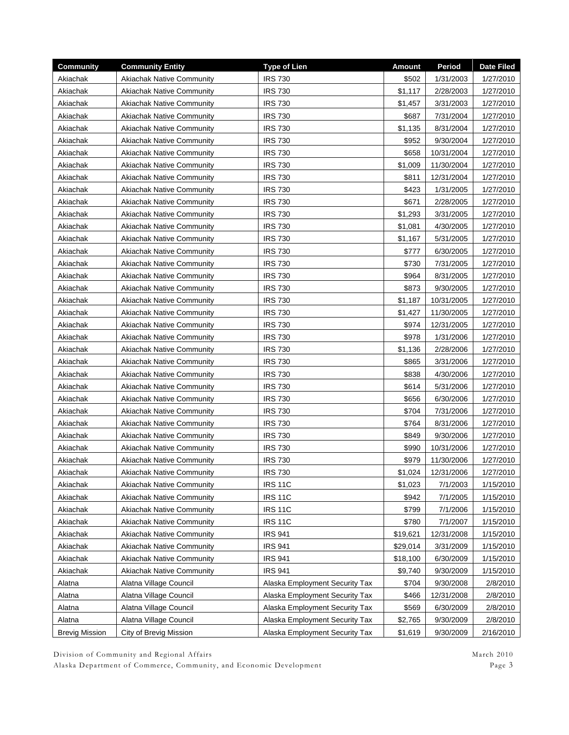| <b>Community</b>      | <b>Community Entity</b>          | <b>Type of Lien</b>            | <b>Amount</b> | Period     | <b>Date Filed</b> |
|-----------------------|----------------------------------|--------------------------------|---------------|------------|-------------------|
| Akiachak              | <b>Akiachak Native Community</b> | <b>IRS 730</b>                 | \$502         | 1/31/2003  | 1/27/2010         |
| Akiachak              | <b>Akiachak Native Community</b> | <b>IRS 730</b>                 | \$1,117       | 2/28/2003  | 1/27/2010         |
| Akiachak              | <b>Akiachak Native Community</b> | <b>IRS 730</b>                 | \$1,457       | 3/31/2003  | 1/27/2010         |
| Akiachak              | <b>Akiachak Native Community</b> | <b>IRS 730</b>                 | \$687         | 7/31/2004  | 1/27/2010         |
| Akiachak              | <b>Akiachak Native Community</b> | <b>IRS 730</b>                 | \$1,135       | 8/31/2004  | 1/27/2010         |
| Akiachak              | <b>Akiachak Native Community</b> | <b>IRS 730</b>                 | \$952         | 9/30/2004  | 1/27/2010         |
| Akiachak              | <b>Akiachak Native Community</b> | <b>IRS 730</b>                 | \$658         | 10/31/2004 | 1/27/2010         |
| Akiachak              | <b>Akiachak Native Community</b> | <b>IRS 730</b>                 | \$1,009       | 11/30/2004 | 1/27/2010         |
| Akiachak              | <b>Akiachak Native Community</b> | <b>IRS 730</b>                 | \$811         | 12/31/2004 | 1/27/2010         |
| Akiachak              | <b>Akiachak Native Community</b> | <b>IRS 730</b>                 | \$423         | 1/31/2005  | 1/27/2010         |
| Akiachak              | <b>Akiachak Native Community</b> | <b>IRS 730</b>                 | \$671         | 2/28/2005  | 1/27/2010         |
| Akiachak              | <b>Akiachak Native Community</b> | <b>IRS 730</b>                 | \$1,293       | 3/31/2005  | 1/27/2010         |
| Akiachak              | <b>Akiachak Native Community</b> | <b>IRS 730</b>                 | \$1,081       | 4/30/2005  | 1/27/2010         |
| Akiachak              | <b>Akiachak Native Community</b> | <b>IRS 730</b>                 | \$1,167       | 5/31/2005  | 1/27/2010         |
| Akiachak              | <b>Akiachak Native Community</b> | <b>IRS 730</b>                 | \$777         | 6/30/2005  | 1/27/2010         |
| Akiachak              | <b>Akiachak Native Community</b> | <b>IRS 730</b>                 | \$730         | 7/31/2005  | 1/27/2010         |
| Akiachak              | <b>Akiachak Native Community</b> | <b>IRS 730</b>                 | \$964         | 8/31/2005  | 1/27/2010         |
| Akiachak              | <b>Akiachak Native Community</b> | <b>IRS 730</b>                 | \$873         | 9/30/2005  | 1/27/2010         |
| Akiachak              | <b>Akiachak Native Community</b> | <b>IRS 730</b>                 | \$1,187       | 10/31/2005 | 1/27/2010         |
| Akiachak              | <b>Akiachak Native Community</b> | <b>IRS 730</b>                 | \$1,427       | 11/30/2005 | 1/27/2010         |
| Akiachak              | <b>Akiachak Native Community</b> | <b>IRS 730</b>                 | \$974         | 12/31/2005 | 1/27/2010         |
| Akiachak              | <b>Akiachak Native Community</b> | <b>IRS 730</b>                 | \$978         | 1/31/2006  | 1/27/2010         |
| Akiachak              | <b>Akiachak Native Community</b> | <b>IRS 730</b>                 | \$1,136       | 2/28/2006  | 1/27/2010         |
| Akiachak              | <b>Akiachak Native Community</b> | <b>IRS 730</b>                 | \$865         | 3/31/2006  | 1/27/2010         |
| Akiachak              | <b>Akiachak Native Community</b> | <b>IRS 730</b>                 | \$838         | 4/30/2006  | 1/27/2010         |
| Akiachak              | <b>Akiachak Native Community</b> | <b>IRS 730</b>                 | \$614         | 5/31/2006  | 1/27/2010         |
| Akiachak              | <b>Akiachak Native Community</b> | <b>IRS 730</b>                 | \$656         | 6/30/2006  | 1/27/2010         |
| Akiachak              | <b>Akiachak Native Community</b> | <b>IRS 730</b>                 | \$704         | 7/31/2006  | 1/27/2010         |
| Akiachak              | <b>Akiachak Native Community</b> | <b>IRS 730</b>                 | \$764         | 8/31/2006  | 1/27/2010         |
| Akiachak              | <b>Akiachak Native Community</b> | <b>IRS 730</b>                 | \$849         | 9/30/2006  | 1/27/2010         |
| Akiachak              | <b>Akiachak Native Community</b> | <b>IRS 730</b>                 | \$990         | 10/31/2006 | 1/27/2010         |
| Akiachak              | <b>Akiachak Native Community</b> | <b>IRS 730</b>                 | \$979         | 11/30/2006 | 1/27/2010         |
| Akiachak              | <b>Akiachak Native Community</b> | <b>IRS 730</b>                 | \$1,024       | 12/31/2006 | 1/27/2010         |
| Akiachak              | <b>Akiachak Native Community</b> | <b>IRS 11C</b>                 | \$1,023       | 7/1/2003   | 1/15/2010         |
| Akiachak              | <b>Akiachak Native Community</b> | <b>IRS 11C</b>                 | \$942         | 7/1/2005   | 1/15/2010         |
| Akiachak              | <b>Akiachak Native Community</b> | <b>IRS 11C</b>                 | \$799         | 7/1/2006   | 1/15/2010         |
| Akiachak              | <b>Akiachak Native Community</b> | <b>IRS 11C</b>                 | \$780         | 7/1/2007   | 1/15/2010         |
| Akiachak              | <b>Akiachak Native Community</b> | <b>IRS 941</b>                 | \$19,621      | 12/31/2008 | 1/15/2010         |
| Akiachak              | Akiachak Native Community        | <b>IRS 941</b>                 | \$29,014      | 3/31/2009  | 1/15/2010         |
| Akiachak              | <b>Akiachak Native Community</b> | <b>IRS 941</b>                 | \$18,100      | 6/30/2009  | 1/15/2010         |
| Akiachak              | <b>Akiachak Native Community</b> | <b>IRS 941</b>                 | \$9,740       | 9/30/2009  | 1/15/2010         |
| Alatna                | Alatna Village Council           | Alaska Employment Security Tax | \$704         | 9/30/2008  | 2/8/2010          |
| Alatna                | Alatna Village Council           | Alaska Employment Security Tax | \$466         | 12/31/2008 | 2/8/2010          |
| Alatna                | Alatna Village Council           | Alaska Employment Security Tax | \$569         | 6/30/2009  | 2/8/2010          |
| Alatna                | Alatna Village Council           | Alaska Employment Security Tax | \$2,765       | 9/30/2009  | 2/8/2010          |
| <b>Brevig Mission</b> | City of Brevig Mission           | Alaska Employment Security Tax | \$1,619       | 9/30/2009  | 2/16/2010         |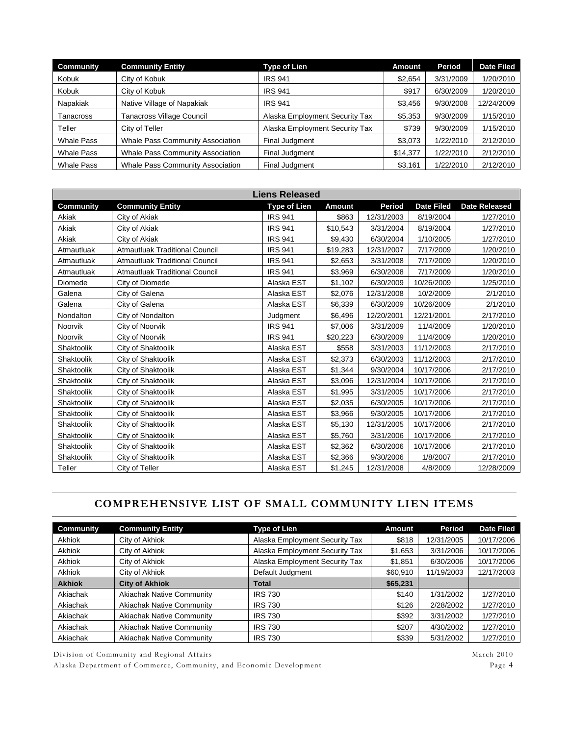| <b>Community</b>  | <b>Community Entity</b>                 | <b>Type of Lien</b>            | Amount   | Period    | <b>Date Filed</b> |
|-------------------|-----------------------------------------|--------------------------------|----------|-----------|-------------------|
| Kobuk             | City of Kobuk                           | <b>IRS 941</b>                 | \$2,654  | 3/31/2009 | 1/20/2010         |
| Kobuk             | City of Kobuk                           | <b>IRS 941</b>                 | \$917    | 6/30/2009 | 1/20/2010         |
| Napakiak          | Native Village of Napakiak              | <b>IRS 941</b>                 | \$3,456  | 9/30/2008 | 12/24/2009        |
| Tanacross         | <b>Tanacross Village Council</b>        | Alaska Employment Security Tax | \$5,353  | 9/30/2009 | 1/15/2010         |
| Teller            | City of Teller                          | Alaska Employment Security Tax | \$739    | 9/30/2009 | 1/15/2010         |
| <b>Whale Pass</b> | <b>Whale Pass Community Association</b> | Final Judgment                 | \$3,073  | 1/22/2010 | 2/12/2010         |
| <b>Whale Pass</b> | <b>Whale Pass Community Association</b> | Final Judgment                 | \$14,377 | 1/22/2010 | 2/12/2010         |
| <b>Whale Pass</b> | <b>Whale Pass Community Association</b> | Final Judgment                 | \$3,161  | 1/22/2010 | 2/12/2010         |

|                  |                                       | <b>Liens Released</b> |               |            |                   |                      |
|------------------|---------------------------------------|-----------------------|---------------|------------|-------------------|----------------------|
| <b>Community</b> | <b>Community Entity</b>               | <b>Type of Lien</b>   | <b>Amount</b> | Period     | <b>Date Filed</b> | <b>Date Released</b> |
| Akiak            | City of Akiak                         | <b>IRS 941</b>        | \$863         | 12/31/2003 | 8/19/2004         | 1/27/2010            |
| Akiak            | City of Akiak                         | <b>IRS 941</b>        | \$10,543      | 3/31/2004  | 8/19/2004         | 1/27/2010            |
| Akiak            | City of Akiak                         | <b>IRS 941</b>        | \$9,430       | 6/30/2004  | 1/10/2005         | 1/27/2010            |
| Atmautluak       | <b>Atmautluak Traditional Council</b> | <b>IRS 941</b>        | \$19,283      | 12/31/2007 | 7/17/2009         | 1/20/2010            |
| Atmautluak       | <b>Atmautluak Traditional Council</b> | <b>IRS 941</b>        | \$2,653       | 3/31/2008  | 7/17/2009         | 1/20/2010            |
| Atmautluak       | <b>Atmautluak Traditional Council</b> | <b>IRS 941</b>        | \$3,969       | 6/30/2008  | 7/17/2009         | 1/20/2010            |
| Diomede          | City of Diomede                       | Alaska EST            | \$1,102       | 6/30/2009  | 10/26/2009        | 1/25/2010            |
| Galena           | City of Galena                        | Alaska EST            | \$2,076       | 12/31/2008 | 10/2/2009         | 2/1/2010             |
| Galena           | City of Galena                        | Alaska EST            | \$6,339       | 6/30/2009  | 10/26/2009        | 2/1/2010             |
| Nondalton        | City of Nondalton                     | Judgment              | \$6,496       | 12/20/2001 | 12/21/2001        | 2/17/2010            |
| <b>Noorvik</b>   | City of Noorvik                       | <b>IRS 941</b>        | \$7,006       | 3/31/2009  | 11/4/2009         | 1/20/2010            |
| Noorvik          | City of Noorvik                       | <b>IRS 941</b>        | \$20,223      | 6/30/2009  | 11/4/2009         | 1/20/2010            |
| Shaktoolik       | City of Shaktoolik                    | Alaska EST            | \$558         | 3/31/2003  | 11/12/2003        | 2/17/2010            |
| Shaktoolik       | City of Shaktoolik                    | Alaska EST            | \$2,373       | 6/30/2003  | 11/12/2003        | 2/17/2010            |
| Shaktoolik       | City of Shaktoolik                    | Alaska EST            | \$1,344       | 9/30/2004  | 10/17/2006        | 2/17/2010            |
| Shaktoolik       | City of Shaktoolik                    | Alaska EST            | \$3,096       | 12/31/2004 | 10/17/2006        | 2/17/2010            |
| Shaktoolik       | City of Shaktoolik                    | Alaska EST            | \$1,995       | 3/31/2005  | 10/17/2006        | 2/17/2010            |
| Shaktoolik       | City of Shaktoolik                    | Alaska EST            | \$2,035       | 6/30/2005  | 10/17/2006        | 2/17/2010            |
| Shaktoolik       | City of Shaktoolik                    | Alaska EST            | \$3,966       | 9/30/2005  | 10/17/2006        | 2/17/2010            |
| Shaktoolik       | City of Shaktoolik                    | Alaska EST            | \$5,130       | 12/31/2005 | 10/17/2006        | 2/17/2010            |
| Shaktoolik       | City of Shaktoolik                    | Alaska EST            | \$5,760       | 3/31/2006  | 10/17/2006        | 2/17/2010            |
| Shaktoolik       | City of Shaktoolik                    | Alaska EST            | \$2,362       | 6/30/2006  | 10/17/2006        | 2/17/2010            |
| Shaktoolik       | City of Shaktoolik                    | Alaska EST            | \$2,366       | 9/30/2006  | 1/8/2007          | 2/17/2010            |
| Teller           | City of Teller                        | Alaska EST            | \$1,245       | 12/31/2008 | 4/8/2009          | 12/28/2009           |

# **COMPREHENSIVE LIST OF SMALL COMMUNITY LIEN ITEMS**

| <b>Community</b> | <b>Community Entity</b>          | <b>Type of Lien</b>            | <b>Amount</b> | Period     | <b>Date Filed</b> |
|------------------|----------------------------------|--------------------------------|---------------|------------|-------------------|
| <b>Akhiok</b>    | City of Akhiok                   | Alaska Employment Security Tax | \$818         | 12/31/2005 | 10/17/2006        |
| <b>Akhiok</b>    | City of Akhiok                   | Alaska Employment Security Tax | \$1,653       | 3/31/2006  | 10/17/2006        |
| Akhiok           | City of Akhiok                   | Alaska Employment Security Tax | \$1,851       | 6/30/2006  | 10/17/2006        |
| Akhiok           | City of Akhiok                   | Default Judgment               | \$60,910      | 11/19/2003 | 12/17/2003        |
| <b>Akhiok</b>    | <b>City of Akhiok</b>            | Total                          | \$65,231      |            |                   |
| Akiachak         | <b>Akiachak Native Community</b> | <b>IRS 730</b>                 | \$140         | 1/31/2002  | 1/27/2010         |
| Akiachak         | <b>Akiachak Native Community</b> | <b>IRS 730</b>                 | \$126         | 2/28/2002  | 1/27/2010         |
| Akiachak         | <b>Akiachak Native Community</b> | <b>IRS 730</b>                 | \$392         | 3/31/2002  | 1/27/2010         |
| Akiachak         | <b>Akiachak Native Community</b> | <b>IRS 730</b>                 | \$207         | 4/30/2002  | 1/27/2010         |
| Akiachak         | <b>Akiachak Native Community</b> | <b>IRS 730</b>                 | \$339         | 5/31/2002  | 1/27/2010         |

Division of Community and Regional Affairs March 2010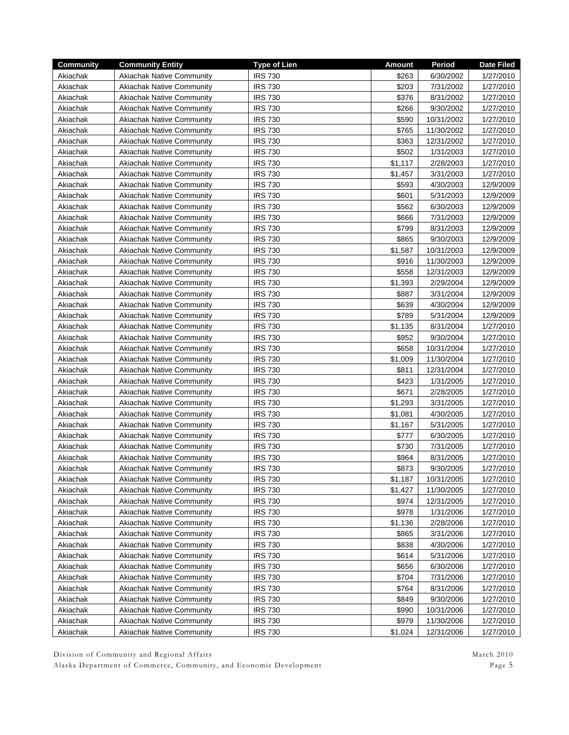| <b>Community</b> | <b>Community Entity</b>          | <b>Type of Lien</b> | <b>Amount</b> | Period     | <b>Date Filed</b> |
|------------------|----------------------------------|---------------------|---------------|------------|-------------------|
| Akiachak         | <b>Akiachak Native Community</b> | <b>IRS 730</b>      | \$263         | 6/30/2002  | 1/27/2010         |
| Akiachak         | <b>Akiachak Native Community</b> | <b>IRS 730</b>      | \$203         | 7/31/2002  | 1/27/2010         |
| Akiachak         | <b>Akiachak Native Community</b> | <b>IRS 730</b>      | \$376         | 8/31/2002  | 1/27/2010         |
| Akiachak         | <b>Akiachak Native Community</b> | <b>IRS 730</b>      | \$266         | 9/30/2002  | 1/27/2010         |
| Akiachak         | <b>Akiachak Native Community</b> | <b>IRS 730</b>      | \$590         | 10/31/2002 | 1/27/2010         |
| Akiachak         | <b>Akiachak Native Community</b> | <b>IRS 730</b>      | \$765         | 11/30/2002 | 1/27/2010         |
| Akiachak         | <b>Akiachak Native Community</b> | <b>IRS 730</b>      | \$363         | 12/31/2002 | 1/27/2010         |
| Akiachak         | <b>Akiachak Native Community</b> | <b>IRS 730</b>      | \$502         | 1/31/2003  | 1/27/2010         |
| Akiachak         | <b>Akiachak Native Community</b> | <b>IRS 730</b>      | \$1,117       | 2/28/2003  | 1/27/2010         |
| Akiachak         | <b>Akiachak Native Community</b> | <b>IRS 730</b>      | \$1,457       | 3/31/2003  | 1/27/2010         |
| Akiachak         | <b>Akiachak Native Community</b> | <b>IRS 730</b>      | \$593         | 4/30/2003  | 12/9/2009         |
| Akiachak         | <b>Akiachak Native Community</b> | <b>IRS 730</b>      | \$601         | 5/31/2003  | 12/9/2009         |
| Akiachak         | <b>Akiachak Native Community</b> | <b>IRS 730</b>      | \$562         | 6/30/2003  | 12/9/2009         |
| Akiachak         | <b>Akiachak Native Community</b> | <b>IRS 730</b>      | \$666         | 7/31/2003  | 12/9/2009         |
| Akiachak         | <b>Akiachak Native Community</b> | <b>IRS 730</b>      | \$799         | 8/31/2003  | 12/9/2009         |
| Akiachak         | <b>Akiachak Native Community</b> | <b>IRS 730</b>      | \$865         | 9/30/2003  | 12/9/2009         |
|                  |                                  |                     |               |            |                   |
| Akiachak         | <b>Akiachak Native Community</b> | <b>IRS 730</b>      | \$1,587       | 10/31/2003 | 12/9/2009         |
| Akiachak         | <b>Akiachak Native Community</b> | <b>IRS 730</b>      | \$916         | 11/30/2003 | 12/9/2009         |
| Akiachak         | <b>Akiachak Native Community</b> | <b>IRS 730</b>      | \$558         | 12/31/2003 | 12/9/2009         |
| Akiachak         | <b>Akiachak Native Community</b> | <b>IRS 730</b>      | \$1,393       | 2/29/2004  | 12/9/2009         |
| Akiachak         | <b>Akiachak Native Community</b> | <b>IRS 730</b>      | \$887         | 3/31/2004  | 12/9/2009         |
| Akiachak         | <b>Akiachak Native Community</b> | <b>IRS 730</b>      | \$639         | 4/30/2004  | 12/9/2009         |
| Akiachak         | <b>Akiachak Native Community</b> | <b>IRS 730</b>      | \$789         | 5/31/2004  | 12/9/2009         |
| Akiachak         | <b>Akiachak Native Community</b> | <b>IRS 730</b>      | \$1,135       | 8/31/2004  | 1/27/2010         |
| Akiachak         | <b>Akiachak Native Community</b> | <b>IRS 730</b>      | \$952         | 9/30/2004  | 1/27/2010         |
| Akiachak         | <b>Akiachak Native Community</b> | <b>IRS 730</b>      | \$658         | 10/31/2004 | 1/27/2010         |
| Akiachak         | <b>Akiachak Native Community</b> | <b>IRS 730</b>      | \$1,009       | 11/30/2004 | 1/27/2010         |
| Akiachak         | <b>Akiachak Native Community</b> | <b>IRS 730</b>      | \$811         | 12/31/2004 | 1/27/2010         |
| Akiachak         | <b>Akiachak Native Community</b> | <b>IRS 730</b>      | \$423         | 1/31/2005  | 1/27/2010         |
| Akiachak         | <b>Akiachak Native Community</b> | <b>IRS 730</b>      | \$671         | 2/28/2005  | 1/27/2010         |
| Akiachak         | <b>Akiachak Native Community</b> | <b>IRS 730</b>      | \$1,293       | 3/31/2005  | 1/27/2010         |
| Akiachak         | <b>Akiachak Native Community</b> | <b>IRS 730</b>      | \$1,081       | 4/30/2005  | 1/27/2010         |
| Akiachak         | <b>Akiachak Native Community</b> | <b>IRS 730</b>      | \$1,167       | 5/31/2005  | 1/27/2010         |
| Akiachak         | <b>Akiachak Native Community</b> | <b>IRS 730</b>      | \$777         | 6/30/2005  | 1/27/2010         |
| Akiachak         | <b>Akiachak Native Community</b> | <b>IRS 730</b>      | \$730         | 7/31/2005  | 1/27/2010         |
| Akiachak         | <b>Akiachak Native Community</b> | <b>IRS 730</b>      | \$964         | 8/31/2005  | 1/27/2010         |
| Akiachak         | <b>Akiachak Native Community</b> | <b>IRS 730</b>      | \$873         | 9/30/2005  | 1/27/2010         |
| Akiachak         | <b>Akiachak Native Community</b> | <b>IRS 730</b>      | \$1,187       | 10/31/2005 | 1/27/2010         |
| Akiachak         | <b>Akiachak Native Community</b> | <b>IRS 730</b>      | \$1,427       | 11/30/2005 | 1/27/2010         |
| Akiachak         | <b>Akiachak Native Community</b> | <b>IRS 730</b>      | \$974         | 12/31/2005 | 1/27/2010         |
| Akiachak         | <b>Akiachak Native Community</b> | <b>IRS 730</b>      | \$978         | 1/31/2006  | 1/27/2010         |
| Akiachak         | <b>Akiachak Native Community</b> | <b>IRS 730</b>      | \$1,136       | 2/28/2006  | 1/27/2010         |
| Akiachak         | <b>Akiachak Native Community</b> | <b>IRS 730</b>      | \$865         | 3/31/2006  | 1/27/2010         |
| Akiachak         | <b>Akiachak Native Community</b> | <b>IRS 730</b>      | \$838         | 4/30/2006  | 1/27/2010         |
| Akiachak         | <b>Akiachak Native Community</b> | <b>IRS 730</b>      | \$614         | 5/31/2006  | 1/27/2010         |
| Akiachak         | <b>Akiachak Native Community</b> | <b>IRS 730</b>      | \$656         | 6/30/2006  | 1/27/2010         |
| Akiachak         | <b>Akiachak Native Community</b> | IRS 730             | \$704         | 7/31/2006  | 1/27/2010         |
|                  |                                  | <b>IRS 730</b>      | \$764         |            | 1/27/2010         |
| Akiachak         | <b>Akiachak Native Community</b> |                     |               | 8/31/2006  |                   |
| Akiachak         | <b>Akiachak Native Community</b> | <b>IRS 730</b>      | \$849         | 9/30/2006  | 1/27/2010         |
| Akiachak         | <b>Akiachak Native Community</b> | <b>IRS 730</b>      | \$990         | 10/31/2006 | 1/27/2010         |
| Akiachak         | <b>Akiachak Native Community</b> | <b>IRS 730</b>      | \$979         | 11/30/2006 | 1/27/2010         |
| Akiachak         | <b>Akiachak Native Community</b> | <b>IRS 730</b>      | \$1,024       | 12/31/2006 | 1/27/2010         |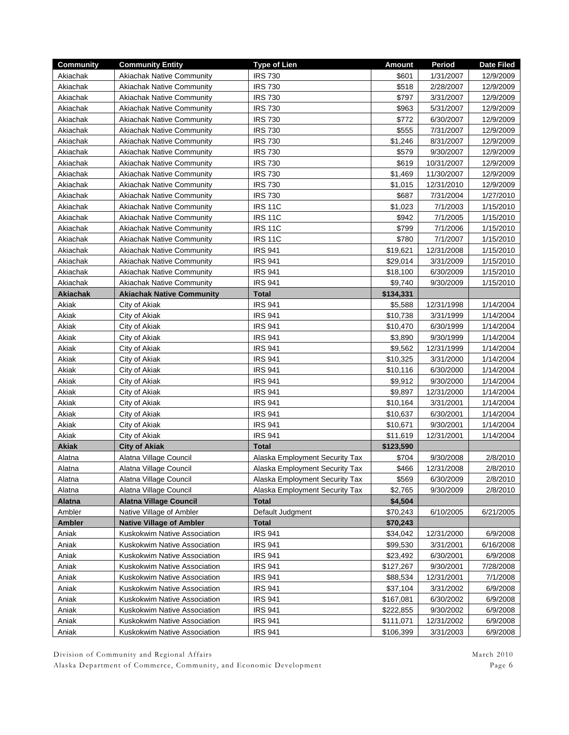| Akiachak<br><b>IRS 730</b><br>\$601<br>1/31/2007<br>12/9/2009<br><b>Akiachak Native Community</b><br><b>IRS 730</b><br>\$518<br>Akiachak<br>2/28/2007<br>12/9/2009<br><b>Akiachak Native Community</b><br>\$797<br><b>IRS 730</b><br>3/31/2007<br>Akiachak<br><b>Akiachak Native Community</b><br>12/9/2009<br><b>IRS 730</b><br>\$963<br>Akiachak<br><b>Akiachak Native Community</b><br>5/31/2007<br>12/9/2009<br>\$772<br><b>Akiachak Native Community</b><br><b>IRS 730</b><br>6/30/2007<br>12/9/2009<br>Akiachak<br><b>Akiachak Native Community</b><br><b>IRS 730</b><br>\$555<br>7/31/2007<br>Akiachak<br>12/9/2009<br><b>IRS 730</b><br>\$1,246<br>Akiachak<br><b>Akiachak Native Community</b><br>8/31/2007<br>12/9/2009<br><b>IRS 730</b><br>\$579<br>Akiachak<br><b>Akiachak Native Community</b><br>9/30/2007<br>12/9/2009<br><b>IRS 730</b><br>\$619<br>10/31/2007<br>Akiachak<br><b>Akiachak Native Community</b><br>12/9/2009<br><b>IRS 730</b><br><b>Akiachak Native Community</b><br>\$1,469<br>11/30/2007<br>12/9/2009<br>Akiachak<br><b>IRS 730</b><br>\$1,015<br>Akiachak<br><b>Akiachak Native Community</b><br>12/31/2010<br>12/9/2009<br>Akiachak<br><b>Akiachak Native Community</b><br><b>IRS 730</b><br>\$687<br>7/31/2004<br>1/27/2010<br><b>IRS 11C</b><br>\$1,023<br>7/1/2003<br>Akiachak<br><b>Akiachak Native Community</b><br>1/15/2010<br><b>IRS 11C</b><br>Akiachak<br><b>Akiachak Native Community</b><br>\$942<br>7/1/2005<br>1/15/2010<br><b>Akiachak Native Community</b><br><b>IRS 11C</b><br>\$799<br>7/1/2006<br>1/15/2010<br>Akiachak<br><b>Akiachak Native Community</b><br><b>IRS 11C</b><br>\$780<br>7/1/2007<br>1/15/2010<br>Akiachak<br><b>Akiachak Native Community</b><br><b>IRS 941</b><br>\$19,621<br>12/31/2008<br>1/15/2010<br>Akiachak<br><b>Akiachak Native Community</b><br><b>IRS 941</b><br>Akiachak<br>\$29,014<br>3/31/2009<br>1/15/2010<br>Akiachak<br><b>Akiachak Native Community</b><br><b>IRS 941</b><br>\$18,100<br>6/30/2009<br>1/15/2010<br>Akiachak<br><b>Akiachak Native Community</b><br><b>IRS 941</b><br>\$9,740<br>9/30/2009<br>1/15/2010<br><b>Total</b><br>Akiachak<br><b>Akiachak Native Community</b><br>\$134,331<br><b>IRS 941</b><br>Akiak<br>12/31/1998<br>1/14/2004<br>City of Akiak<br>\$5,588<br>Akiak<br><b>IRS 941</b><br>3/31/1999<br>1/14/2004<br>City of Akiak<br>\$10,738<br>Akiak<br><b>IRS 941</b><br>\$10,470<br>6/30/1999<br>1/14/2004<br>City of Akiak<br>Akiak<br><b>IRS 941</b><br>City of Akiak<br>\$3,890<br>9/30/1999<br>1/14/2004<br>Akiak<br>City of Akiak<br><b>IRS 941</b><br>\$9,562<br>12/31/1999<br>1/14/2004<br>Akiak<br><b>IRS 941</b><br>\$10,325<br>City of Akiak<br>3/31/2000<br>1/14/2004<br>Akiak<br><b>IRS 941</b><br>\$10,116<br>6/30/2000<br>City of Akiak<br>1/14/2004<br>Akiak<br><b>IRS 941</b><br>\$9,912<br>City of Akiak<br>9/30/2000<br>1/14/2004<br><b>IRS 941</b><br>\$9,897<br>Akiak<br>City of Akiak<br>12/31/2000<br>1/14/2004<br><b>IRS 941</b><br>\$10,164<br>Akiak<br>City of Akiak<br>3/31/2001<br>1/14/2004<br><b>IRS 941</b><br>Akiak<br>City of Akiak<br>\$10,637<br>6/30/2001<br>1/14/2004<br><b>IRS 941</b><br>Akiak<br>City of Akiak<br>\$10,671<br>9/30/2001<br>1/14/2004<br><b>IRS 941</b><br>Akiak<br>City of Akiak<br>\$11,619<br>12/31/2001<br>1/14/2004<br><b>Akiak</b><br><b>City of Akiak</b><br><b>Total</b><br>\$123,590<br>Alatna Village Council<br>Alaska Employment Security Tax<br>\$704<br>9/30/2008<br>2/8/2010<br>Alatna<br>Alatna Village Council<br>\$466<br>12/31/2008<br>2/8/2010<br>Alatna<br>Alaska Employment Security Tax<br>6/30/2009<br>2/8/2010<br>Alatna Village Council<br>\$569<br>Alatna<br>Alaska Employment Security Tax<br>Alatna Village Council<br>\$2,765<br>2/8/2010<br>Alatna<br>Alaska Employment Security Tax<br>9/30/2009<br>Alatna<br><b>Alatna Village Council</b><br><b>Total</b><br>\$4,504<br>Native Village of Ambler<br>\$70,243<br>Ambler<br>Default Judgment<br>6/10/2005<br>6/21/2005<br><b>Native Village of Ambler</b><br>Ambler<br><b>Total</b><br>\$70,243<br><b>IRS 941</b><br>\$34,042<br>12/31/2000<br>Aniak<br>Kuskokwim Native Association<br>6/9/2008<br>Aniak<br>Kuskokwim Native Association<br><b>IRS 941</b><br>\$99,530<br>3/31/2001<br>6/16/2008<br>Aniak<br>Kuskokwim Native Association<br><b>IRS 941</b><br>\$23,492<br>6/30/2001<br>6/9/2008<br><b>IRS 941</b><br>9/30/2001<br>Aniak<br>Kuskokwim Native Association<br>\$127,267<br>7/28/2008<br><b>IRS 941</b><br>12/31/2001<br>Aniak<br>Kuskokwim Native Association<br>\$88,534<br>7/1/2008<br><b>IRS 941</b><br>\$37,104<br>3/31/2002<br>Aniak<br>Kuskokwim Native Association<br>6/9/2008<br><b>IRS 941</b><br>Aniak<br>Kuskokwim Native Association<br>\$167,081<br>6/30/2002<br>6/9/2008<br><b>IRS 941</b><br>\$222,855<br>9/30/2002<br>Aniak<br>Kuskokwim Native Association<br>6/9/2008<br><b>IRS 941</b><br>12/31/2002<br>Aniak<br>Kuskokwim Native Association<br>\$111,071<br>6/9/2008<br><b>IRS 941</b><br>\$106,399<br>Aniak<br>Kuskokwim Native Association<br>3/31/2003<br>6/9/2008 | <b>Community</b> | <b>Community Entity</b> | <b>Type of Lien</b> | <b>Amount</b> | Period | Date Filed |
|----------------------------------------------------------------------------------------------------------------------------------------------------------------------------------------------------------------------------------------------------------------------------------------------------------------------------------------------------------------------------------------------------------------------------------------------------------------------------------------------------------------------------------------------------------------------------------------------------------------------------------------------------------------------------------------------------------------------------------------------------------------------------------------------------------------------------------------------------------------------------------------------------------------------------------------------------------------------------------------------------------------------------------------------------------------------------------------------------------------------------------------------------------------------------------------------------------------------------------------------------------------------------------------------------------------------------------------------------------------------------------------------------------------------------------------------------------------------------------------------------------------------------------------------------------------------------------------------------------------------------------------------------------------------------------------------------------------------------------------------------------------------------------------------------------------------------------------------------------------------------------------------------------------------------------------------------------------------------------------------------------------------------------------------------------------------------------------------------------------------------------------------------------------------------------------------------------------------------------------------------------------------------------------------------------------------------------------------------------------------------------------------------------------------------------------------------------------------------------------------------------------------------------------------------------------------------------------------------------------------------------------------------------------------------------------------------------------------------------------------------------------------------------------------------------------------------------------------------------------------------------------------------------------------------------------------------------------------------------------------------------------------------------------------------------------------------------------------------------------------------------------------------------------------------------------------------------------------------------------------------------------------------------------------------------------------------------------------------------------------------------------------------------------------------------------------------------------------------------------------------------------------------------------------------------------------------------------------------------------------------------------------------------------------------------------------------------------------------------------------------------------------------------------------------------------------------------------------------------------------------------------------------------------------------------------------------------------------------------------------------------------------------------------------------------------------------------------------------------------------------------------------------------------------------------------------------------------------------------------------------------------------------------------------------------------------------------------------------------------------------------------------------------------------------------------------------------------------------------------------------------------------------------------------------------------------------------------------------------------------------------------------------------------------------------------------------------------------------------------------------------------------------------------------------------------------------------------------------------------------------------------------------------------------------------------------------------------------------------------------------------------------------------------------------------------------------|------------------|-------------------------|---------------------|---------------|--------|------------|
|                                                                                                                                                                                                                                                                                                                                                                                                                                                                                                                                                                                                                                                                                                                                                                                                                                                                                                                                                                                                                                                                                                                                                                                                                                                                                                                                                                                                                                                                                                                                                                                                                                                                                                                                                                                                                                                                                                                                                                                                                                                                                                                                                                                                                                                                                                                                                                                                                                                                                                                                                                                                                                                                                                                                                                                                                                                                                                                                                                                                                                                                                                                                                                                                                                                                                                                                                                                                                                                                                                                                                                                                                                                                                                                                                                                                                                                                                                                                                                                                                                                                                                                                                                                                                                                                                                                                                                                                                                                                                                                                                                                                                                                                                                                                                                                                                                                                                                                                                                                                                                                                            |                  |                         |                     |               |        |            |
|                                                                                                                                                                                                                                                                                                                                                                                                                                                                                                                                                                                                                                                                                                                                                                                                                                                                                                                                                                                                                                                                                                                                                                                                                                                                                                                                                                                                                                                                                                                                                                                                                                                                                                                                                                                                                                                                                                                                                                                                                                                                                                                                                                                                                                                                                                                                                                                                                                                                                                                                                                                                                                                                                                                                                                                                                                                                                                                                                                                                                                                                                                                                                                                                                                                                                                                                                                                                                                                                                                                                                                                                                                                                                                                                                                                                                                                                                                                                                                                                                                                                                                                                                                                                                                                                                                                                                                                                                                                                                                                                                                                                                                                                                                                                                                                                                                                                                                                                                                                                                                                                            |                  |                         |                     |               |        |            |
|                                                                                                                                                                                                                                                                                                                                                                                                                                                                                                                                                                                                                                                                                                                                                                                                                                                                                                                                                                                                                                                                                                                                                                                                                                                                                                                                                                                                                                                                                                                                                                                                                                                                                                                                                                                                                                                                                                                                                                                                                                                                                                                                                                                                                                                                                                                                                                                                                                                                                                                                                                                                                                                                                                                                                                                                                                                                                                                                                                                                                                                                                                                                                                                                                                                                                                                                                                                                                                                                                                                                                                                                                                                                                                                                                                                                                                                                                                                                                                                                                                                                                                                                                                                                                                                                                                                                                                                                                                                                                                                                                                                                                                                                                                                                                                                                                                                                                                                                                                                                                                                                            |                  |                         |                     |               |        |            |
|                                                                                                                                                                                                                                                                                                                                                                                                                                                                                                                                                                                                                                                                                                                                                                                                                                                                                                                                                                                                                                                                                                                                                                                                                                                                                                                                                                                                                                                                                                                                                                                                                                                                                                                                                                                                                                                                                                                                                                                                                                                                                                                                                                                                                                                                                                                                                                                                                                                                                                                                                                                                                                                                                                                                                                                                                                                                                                                                                                                                                                                                                                                                                                                                                                                                                                                                                                                                                                                                                                                                                                                                                                                                                                                                                                                                                                                                                                                                                                                                                                                                                                                                                                                                                                                                                                                                                                                                                                                                                                                                                                                                                                                                                                                                                                                                                                                                                                                                                                                                                                                                            |                  |                         |                     |               |        |            |
|                                                                                                                                                                                                                                                                                                                                                                                                                                                                                                                                                                                                                                                                                                                                                                                                                                                                                                                                                                                                                                                                                                                                                                                                                                                                                                                                                                                                                                                                                                                                                                                                                                                                                                                                                                                                                                                                                                                                                                                                                                                                                                                                                                                                                                                                                                                                                                                                                                                                                                                                                                                                                                                                                                                                                                                                                                                                                                                                                                                                                                                                                                                                                                                                                                                                                                                                                                                                                                                                                                                                                                                                                                                                                                                                                                                                                                                                                                                                                                                                                                                                                                                                                                                                                                                                                                                                                                                                                                                                                                                                                                                                                                                                                                                                                                                                                                                                                                                                                                                                                                                                            |                  |                         |                     |               |        |            |
|                                                                                                                                                                                                                                                                                                                                                                                                                                                                                                                                                                                                                                                                                                                                                                                                                                                                                                                                                                                                                                                                                                                                                                                                                                                                                                                                                                                                                                                                                                                                                                                                                                                                                                                                                                                                                                                                                                                                                                                                                                                                                                                                                                                                                                                                                                                                                                                                                                                                                                                                                                                                                                                                                                                                                                                                                                                                                                                                                                                                                                                                                                                                                                                                                                                                                                                                                                                                                                                                                                                                                                                                                                                                                                                                                                                                                                                                                                                                                                                                                                                                                                                                                                                                                                                                                                                                                                                                                                                                                                                                                                                                                                                                                                                                                                                                                                                                                                                                                                                                                                                                            |                  |                         |                     |               |        |            |
|                                                                                                                                                                                                                                                                                                                                                                                                                                                                                                                                                                                                                                                                                                                                                                                                                                                                                                                                                                                                                                                                                                                                                                                                                                                                                                                                                                                                                                                                                                                                                                                                                                                                                                                                                                                                                                                                                                                                                                                                                                                                                                                                                                                                                                                                                                                                                                                                                                                                                                                                                                                                                                                                                                                                                                                                                                                                                                                                                                                                                                                                                                                                                                                                                                                                                                                                                                                                                                                                                                                                                                                                                                                                                                                                                                                                                                                                                                                                                                                                                                                                                                                                                                                                                                                                                                                                                                                                                                                                                                                                                                                                                                                                                                                                                                                                                                                                                                                                                                                                                                                                            |                  |                         |                     |               |        |            |
|                                                                                                                                                                                                                                                                                                                                                                                                                                                                                                                                                                                                                                                                                                                                                                                                                                                                                                                                                                                                                                                                                                                                                                                                                                                                                                                                                                                                                                                                                                                                                                                                                                                                                                                                                                                                                                                                                                                                                                                                                                                                                                                                                                                                                                                                                                                                                                                                                                                                                                                                                                                                                                                                                                                                                                                                                                                                                                                                                                                                                                                                                                                                                                                                                                                                                                                                                                                                                                                                                                                                                                                                                                                                                                                                                                                                                                                                                                                                                                                                                                                                                                                                                                                                                                                                                                                                                                                                                                                                                                                                                                                                                                                                                                                                                                                                                                                                                                                                                                                                                                                                            |                  |                         |                     |               |        |            |
|                                                                                                                                                                                                                                                                                                                                                                                                                                                                                                                                                                                                                                                                                                                                                                                                                                                                                                                                                                                                                                                                                                                                                                                                                                                                                                                                                                                                                                                                                                                                                                                                                                                                                                                                                                                                                                                                                                                                                                                                                                                                                                                                                                                                                                                                                                                                                                                                                                                                                                                                                                                                                                                                                                                                                                                                                                                                                                                                                                                                                                                                                                                                                                                                                                                                                                                                                                                                                                                                                                                                                                                                                                                                                                                                                                                                                                                                                                                                                                                                                                                                                                                                                                                                                                                                                                                                                                                                                                                                                                                                                                                                                                                                                                                                                                                                                                                                                                                                                                                                                                                                            |                  |                         |                     |               |        |            |
|                                                                                                                                                                                                                                                                                                                                                                                                                                                                                                                                                                                                                                                                                                                                                                                                                                                                                                                                                                                                                                                                                                                                                                                                                                                                                                                                                                                                                                                                                                                                                                                                                                                                                                                                                                                                                                                                                                                                                                                                                                                                                                                                                                                                                                                                                                                                                                                                                                                                                                                                                                                                                                                                                                                                                                                                                                                                                                                                                                                                                                                                                                                                                                                                                                                                                                                                                                                                                                                                                                                                                                                                                                                                                                                                                                                                                                                                                                                                                                                                                                                                                                                                                                                                                                                                                                                                                                                                                                                                                                                                                                                                                                                                                                                                                                                                                                                                                                                                                                                                                                                                            |                  |                         |                     |               |        |            |
|                                                                                                                                                                                                                                                                                                                                                                                                                                                                                                                                                                                                                                                                                                                                                                                                                                                                                                                                                                                                                                                                                                                                                                                                                                                                                                                                                                                                                                                                                                                                                                                                                                                                                                                                                                                                                                                                                                                                                                                                                                                                                                                                                                                                                                                                                                                                                                                                                                                                                                                                                                                                                                                                                                                                                                                                                                                                                                                                                                                                                                                                                                                                                                                                                                                                                                                                                                                                                                                                                                                                                                                                                                                                                                                                                                                                                                                                                                                                                                                                                                                                                                                                                                                                                                                                                                                                                                                                                                                                                                                                                                                                                                                                                                                                                                                                                                                                                                                                                                                                                                                                            |                  |                         |                     |               |        |            |
|                                                                                                                                                                                                                                                                                                                                                                                                                                                                                                                                                                                                                                                                                                                                                                                                                                                                                                                                                                                                                                                                                                                                                                                                                                                                                                                                                                                                                                                                                                                                                                                                                                                                                                                                                                                                                                                                                                                                                                                                                                                                                                                                                                                                                                                                                                                                                                                                                                                                                                                                                                                                                                                                                                                                                                                                                                                                                                                                                                                                                                                                                                                                                                                                                                                                                                                                                                                                                                                                                                                                                                                                                                                                                                                                                                                                                                                                                                                                                                                                                                                                                                                                                                                                                                                                                                                                                                                                                                                                                                                                                                                                                                                                                                                                                                                                                                                                                                                                                                                                                                                                            |                  |                         |                     |               |        |            |
|                                                                                                                                                                                                                                                                                                                                                                                                                                                                                                                                                                                                                                                                                                                                                                                                                                                                                                                                                                                                                                                                                                                                                                                                                                                                                                                                                                                                                                                                                                                                                                                                                                                                                                                                                                                                                                                                                                                                                                                                                                                                                                                                                                                                                                                                                                                                                                                                                                                                                                                                                                                                                                                                                                                                                                                                                                                                                                                                                                                                                                                                                                                                                                                                                                                                                                                                                                                                                                                                                                                                                                                                                                                                                                                                                                                                                                                                                                                                                                                                                                                                                                                                                                                                                                                                                                                                                                                                                                                                                                                                                                                                                                                                                                                                                                                                                                                                                                                                                                                                                                                                            |                  |                         |                     |               |        |            |
|                                                                                                                                                                                                                                                                                                                                                                                                                                                                                                                                                                                                                                                                                                                                                                                                                                                                                                                                                                                                                                                                                                                                                                                                                                                                                                                                                                                                                                                                                                                                                                                                                                                                                                                                                                                                                                                                                                                                                                                                                                                                                                                                                                                                                                                                                                                                                                                                                                                                                                                                                                                                                                                                                                                                                                                                                                                                                                                                                                                                                                                                                                                                                                                                                                                                                                                                                                                                                                                                                                                                                                                                                                                                                                                                                                                                                                                                                                                                                                                                                                                                                                                                                                                                                                                                                                                                                                                                                                                                                                                                                                                                                                                                                                                                                                                                                                                                                                                                                                                                                                                                            |                  |                         |                     |               |        |            |
|                                                                                                                                                                                                                                                                                                                                                                                                                                                                                                                                                                                                                                                                                                                                                                                                                                                                                                                                                                                                                                                                                                                                                                                                                                                                                                                                                                                                                                                                                                                                                                                                                                                                                                                                                                                                                                                                                                                                                                                                                                                                                                                                                                                                                                                                                                                                                                                                                                                                                                                                                                                                                                                                                                                                                                                                                                                                                                                                                                                                                                                                                                                                                                                                                                                                                                                                                                                                                                                                                                                                                                                                                                                                                                                                                                                                                                                                                                                                                                                                                                                                                                                                                                                                                                                                                                                                                                                                                                                                                                                                                                                                                                                                                                                                                                                                                                                                                                                                                                                                                                                                            |                  |                         |                     |               |        |            |
|                                                                                                                                                                                                                                                                                                                                                                                                                                                                                                                                                                                                                                                                                                                                                                                                                                                                                                                                                                                                                                                                                                                                                                                                                                                                                                                                                                                                                                                                                                                                                                                                                                                                                                                                                                                                                                                                                                                                                                                                                                                                                                                                                                                                                                                                                                                                                                                                                                                                                                                                                                                                                                                                                                                                                                                                                                                                                                                                                                                                                                                                                                                                                                                                                                                                                                                                                                                                                                                                                                                                                                                                                                                                                                                                                                                                                                                                                                                                                                                                                                                                                                                                                                                                                                                                                                                                                                                                                                                                                                                                                                                                                                                                                                                                                                                                                                                                                                                                                                                                                                                                            |                  |                         |                     |               |        |            |
|                                                                                                                                                                                                                                                                                                                                                                                                                                                                                                                                                                                                                                                                                                                                                                                                                                                                                                                                                                                                                                                                                                                                                                                                                                                                                                                                                                                                                                                                                                                                                                                                                                                                                                                                                                                                                                                                                                                                                                                                                                                                                                                                                                                                                                                                                                                                                                                                                                                                                                                                                                                                                                                                                                                                                                                                                                                                                                                                                                                                                                                                                                                                                                                                                                                                                                                                                                                                                                                                                                                                                                                                                                                                                                                                                                                                                                                                                                                                                                                                                                                                                                                                                                                                                                                                                                                                                                                                                                                                                                                                                                                                                                                                                                                                                                                                                                                                                                                                                                                                                                                                            |                  |                         |                     |               |        |            |
|                                                                                                                                                                                                                                                                                                                                                                                                                                                                                                                                                                                                                                                                                                                                                                                                                                                                                                                                                                                                                                                                                                                                                                                                                                                                                                                                                                                                                                                                                                                                                                                                                                                                                                                                                                                                                                                                                                                                                                                                                                                                                                                                                                                                                                                                                                                                                                                                                                                                                                                                                                                                                                                                                                                                                                                                                                                                                                                                                                                                                                                                                                                                                                                                                                                                                                                                                                                                                                                                                                                                                                                                                                                                                                                                                                                                                                                                                                                                                                                                                                                                                                                                                                                                                                                                                                                                                                                                                                                                                                                                                                                                                                                                                                                                                                                                                                                                                                                                                                                                                                                                            |                  |                         |                     |               |        |            |
|                                                                                                                                                                                                                                                                                                                                                                                                                                                                                                                                                                                                                                                                                                                                                                                                                                                                                                                                                                                                                                                                                                                                                                                                                                                                                                                                                                                                                                                                                                                                                                                                                                                                                                                                                                                                                                                                                                                                                                                                                                                                                                                                                                                                                                                                                                                                                                                                                                                                                                                                                                                                                                                                                                                                                                                                                                                                                                                                                                                                                                                                                                                                                                                                                                                                                                                                                                                                                                                                                                                                                                                                                                                                                                                                                                                                                                                                                                                                                                                                                                                                                                                                                                                                                                                                                                                                                                                                                                                                                                                                                                                                                                                                                                                                                                                                                                                                                                                                                                                                                                                                            |                  |                         |                     |               |        |            |
|                                                                                                                                                                                                                                                                                                                                                                                                                                                                                                                                                                                                                                                                                                                                                                                                                                                                                                                                                                                                                                                                                                                                                                                                                                                                                                                                                                                                                                                                                                                                                                                                                                                                                                                                                                                                                                                                                                                                                                                                                                                                                                                                                                                                                                                                                                                                                                                                                                                                                                                                                                                                                                                                                                                                                                                                                                                                                                                                                                                                                                                                                                                                                                                                                                                                                                                                                                                                                                                                                                                                                                                                                                                                                                                                                                                                                                                                                                                                                                                                                                                                                                                                                                                                                                                                                                                                                                                                                                                                                                                                                                                                                                                                                                                                                                                                                                                                                                                                                                                                                                                                            |                  |                         |                     |               |        |            |
|                                                                                                                                                                                                                                                                                                                                                                                                                                                                                                                                                                                                                                                                                                                                                                                                                                                                                                                                                                                                                                                                                                                                                                                                                                                                                                                                                                                                                                                                                                                                                                                                                                                                                                                                                                                                                                                                                                                                                                                                                                                                                                                                                                                                                                                                                                                                                                                                                                                                                                                                                                                                                                                                                                                                                                                                                                                                                                                                                                                                                                                                                                                                                                                                                                                                                                                                                                                                                                                                                                                                                                                                                                                                                                                                                                                                                                                                                                                                                                                                                                                                                                                                                                                                                                                                                                                                                                                                                                                                                                                                                                                                                                                                                                                                                                                                                                                                                                                                                                                                                                                                            |                  |                         |                     |               |        |            |
|                                                                                                                                                                                                                                                                                                                                                                                                                                                                                                                                                                                                                                                                                                                                                                                                                                                                                                                                                                                                                                                                                                                                                                                                                                                                                                                                                                                                                                                                                                                                                                                                                                                                                                                                                                                                                                                                                                                                                                                                                                                                                                                                                                                                                                                                                                                                                                                                                                                                                                                                                                                                                                                                                                                                                                                                                                                                                                                                                                                                                                                                                                                                                                                                                                                                                                                                                                                                                                                                                                                                                                                                                                                                                                                                                                                                                                                                                                                                                                                                                                                                                                                                                                                                                                                                                                                                                                                                                                                                                                                                                                                                                                                                                                                                                                                                                                                                                                                                                                                                                                                                            |                  |                         |                     |               |        |            |
|                                                                                                                                                                                                                                                                                                                                                                                                                                                                                                                                                                                                                                                                                                                                                                                                                                                                                                                                                                                                                                                                                                                                                                                                                                                                                                                                                                                                                                                                                                                                                                                                                                                                                                                                                                                                                                                                                                                                                                                                                                                                                                                                                                                                                                                                                                                                                                                                                                                                                                                                                                                                                                                                                                                                                                                                                                                                                                                                                                                                                                                                                                                                                                                                                                                                                                                                                                                                                                                                                                                                                                                                                                                                                                                                                                                                                                                                                                                                                                                                                                                                                                                                                                                                                                                                                                                                                                                                                                                                                                                                                                                                                                                                                                                                                                                                                                                                                                                                                                                                                                                                            |                  |                         |                     |               |        |            |
|                                                                                                                                                                                                                                                                                                                                                                                                                                                                                                                                                                                                                                                                                                                                                                                                                                                                                                                                                                                                                                                                                                                                                                                                                                                                                                                                                                                                                                                                                                                                                                                                                                                                                                                                                                                                                                                                                                                                                                                                                                                                                                                                                                                                                                                                                                                                                                                                                                                                                                                                                                                                                                                                                                                                                                                                                                                                                                                                                                                                                                                                                                                                                                                                                                                                                                                                                                                                                                                                                                                                                                                                                                                                                                                                                                                                                                                                                                                                                                                                                                                                                                                                                                                                                                                                                                                                                                                                                                                                                                                                                                                                                                                                                                                                                                                                                                                                                                                                                                                                                                                                            |                  |                         |                     |               |        |            |
|                                                                                                                                                                                                                                                                                                                                                                                                                                                                                                                                                                                                                                                                                                                                                                                                                                                                                                                                                                                                                                                                                                                                                                                                                                                                                                                                                                                                                                                                                                                                                                                                                                                                                                                                                                                                                                                                                                                                                                                                                                                                                                                                                                                                                                                                                                                                                                                                                                                                                                                                                                                                                                                                                                                                                                                                                                                                                                                                                                                                                                                                                                                                                                                                                                                                                                                                                                                                                                                                                                                                                                                                                                                                                                                                                                                                                                                                                                                                                                                                                                                                                                                                                                                                                                                                                                                                                                                                                                                                                                                                                                                                                                                                                                                                                                                                                                                                                                                                                                                                                                                                            |                  |                         |                     |               |        |            |
|                                                                                                                                                                                                                                                                                                                                                                                                                                                                                                                                                                                                                                                                                                                                                                                                                                                                                                                                                                                                                                                                                                                                                                                                                                                                                                                                                                                                                                                                                                                                                                                                                                                                                                                                                                                                                                                                                                                                                                                                                                                                                                                                                                                                                                                                                                                                                                                                                                                                                                                                                                                                                                                                                                                                                                                                                                                                                                                                                                                                                                                                                                                                                                                                                                                                                                                                                                                                                                                                                                                                                                                                                                                                                                                                                                                                                                                                                                                                                                                                                                                                                                                                                                                                                                                                                                                                                                                                                                                                                                                                                                                                                                                                                                                                                                                                                                                                                                                                                                                                                                                                            |                  |                         |                     |               |        |            |
|                                                                                                                                                                                                                                                                                                                                                                                                                                                                                                                                                                                                                                                                                                                                                                                                                                                                                                                                                                                                                                                                                                                                                                                                                                                                                                                                                                                                                                                                                                                                                                                                                                                                                                                                                                                                                                                                                                                                                                                                                                                                                                                                                                                                                                                                                                                                                                                                                                                                                                                                                                                                                                                                                                                                                                                                                                                                                                                                                                                                                                                                                                                                                                                                                                                                                                                                                                                                                                                                                                                                                                                                                                                                                                                                                                                                                                                                                                                                                                                                                                                                                                                                                                                                                                                                                                                                                                                                                                                                                                                                                                                                                                                                                                                                                                                                                                                                                                                                                                                                                                                                            |                  |                         |                     |               |        |            |
|                                                                                                                                                                                                                                                                                                                                                                                                                                                                                                                                                                                                                                                                                                                                                                                                                                                                                                                                                                                                                                                                                                                                                                                                                                                                                                                                                                                                                                                                                                                                                                                                                                                                                                                                                                                                                                                                                                                                                                                                                                                                                                                                                                                                                                                                                                                                                                                                                                                                                                                                                                                                                                                                                                                                                                                                                                                                                                                                                                                                                                                                                                                                                                                                                                                                                                                                                                                                                                                                                                                                                                                                                                                                                                                                                                                                                                                                                                                                                                                                                                                                                                                                                                                                                                                                                                                                                                                                                                                                                                                                                                                                                                                                                                                                                                                                                                                                                                                                                                                                                                                                            |                  |                         |                     |               |        |            |
|                                                                                                                                                                                                                                                                                                                                                                                                                                                                                                                                                                                                                                                                                                                                                                                                                                                                                                                                                                                                                                                                                                                                                                                                                                                                                                                                                                                                                                                                                                                                                                                                                                                                                                                                                                                                                                                                                                                                                                                                                                                                                                                                                                                                                                                                                                                                                                                                                                                                                                                                                                                                                                                                                                                                                                                                                                                                                                                                                                                                                                                                                                                                                                                                                                                                                                                                                                                                                                                                                                                                                                                                                                                                                                                                                                                                                                                                                                                                                                                                                                                                                                                                                                                                                                                                                                                                                                                                                                                                                                                                                                                                                                                                                                                                                                                                                                                                                                                                                                                                                                                                            |                  |                         |                     |               |        |            |
|                                                                                                                                                                                                                                                                                                                                                                                                                                                                                                                                                                                                                                                                                                                                                                                                                                                                                                                                                                                                                                                                                                                                                                                                                                                                                                                                                                                                                                                                                                                                                                                                                                                                                                                                                                                                                                                                                                                                                                                                                                                                                                                                                                                                                                                                                                                                                                                                                                                                                                                                                                                                                                                                                                                                                                                                                                                                                                                                                                                                                                                                                                                                                                                                                                                                                                                                                                                                                                                                                                                                                                                                                                                                                                                                                                                                                                                                                                                                                                                                                                                                                                                                                                                                                                                                                                                                                                                                                                                                                                                                                                                                                                                                                                                                                                                                                                                                                                                                                                                                                                                                            |                  |                         |                     |               |        |            |
|                                                                                                                                                                                                                                                                                                                                                                                                                                                                                                                                                                                                                                                                                                                                                                                                                                                                                                                                                                                                                                                                                                                                                                                                                                                                                                                                                                                                                                                                                                                                                                                                                                                                                                                                                                                                                                                                                                                                                                                                                                                                                                                                                                                                                                                                                                                                                                                                                                                                                                                                                                                                                                                                                                                                                                                                                                                                                                                                                                                                                                                                                                                                                                                                                                                                                                                                                                                                                                                                                                                                                                                                                                                                                                                                                                                                                                                                                                                                                                                                                                                                                                                                                                                                                                                                                                                                                                                                                                                                                                                                                                                                                                                                                                                                                                                                                                                                                                                                                                                                                                                                            |                  |                         |                     |               |        |            |
|                                                                                                                                                                                                                                                                                                                                                                                                                                                                                                                                                                                                                                                                                                                                                                                                                                                                                                                                                                                                                                                                                                                                                                                                                                                                                                                                                                                                                                                                                                                                                                                                                                                                                                                                                                                                                                                                                                                                                                                                                                                                                                                                                                                                                                                                                                                                                                                                                                                                                                                                                                                                                                                                                                                                                                                                                                                                                                                                                                                                                                                                                                                                                                                                                                                                                                                                                                                                                                                                                                                                                                                                                                                                                                                                                                                                                                                                                                                                                                                                                                                                                                                                                                                                                                                                                                                                                                                                                                                                                                                                                                                                                                                                                                                                                                                                                                                                                                                                                                                                                                                                            |                  |                         |                     |               |        |            |
|                                                                                                                                                                                                                                                                                                                                                                                                                                                                                                                                                                                                                                                                                                                                                                                                                                                                                                                                                                                                                                                                                                                                                                                                                                                                                                                                                                                                                                                                                                                                                                                                                                                                                                                                                                                                                                                                                                                                                                                                                                                                                                                                                                                                                                                                                                                                                                                                                                                                                                                                                                                                                                                                                                                                                                                                                                                                                                                                                                                                                                                                                                                                                                                                                                                                                                                                                                                                                                                                                                                                                                                                                                                                                                                                                                                                                                                                                                                                                                                                                                                                                                                                                                                                                                                                                                                                                                                                                                                                                                                                                                                                                                                                                                                                                                                                                                                                                                                                                                                                                                                                            |                  |                         |                     |               |        |            |
|                                                                                                                                                                                                                                                                                                                                                                                                                                                                                                                                                                                                                                                                                                                                                                                                                                                                                                                                                                                                                                                                                                                                                                                                                                                                                                                                                                                                                                                                                                                                                                                                                                                                                                                                                                                                                                                                                                                                                                                                                                                                                                                                                                                                                                                                                                                                                                                                                                                                                                                                                                                                                                                                                                                                                                                                                                                                                                                                                                                                                                                                                                                                                                                                                                                                                                                                                                                                                                                                                                                                                                                                                                                                                                                                                                                                                                                                                                                                                                                                                                                                                                                                                                                                                                                                                                                                                                                                                                                                                                                                                                                                                                                                                                                                                                                                                                                                                                                                                                                                                                                                            |                  |                         |                     |               |        |            |
|                                                                                                                                                                                                                                                                                                                                                                                                                                                                                                                                                                                                                                                                                                                                                                                                                                                                                                                                                                                                                                                                                                                                                                                                                                                                                                                                                                                                                                                                                                                                                                                                                                                                                                                                                                                                                                                                                                                                                                                                                                                                                                                                                                                                                                                                                                                                                                                                                                                                                                                                                                                                                                                                                                                                                                                                                                                                                                                                                                                                                                                                                                                                                                                                                                                                                                                                                                                                                                                                                                                                                                                                                                                                                                                                                                                                                                                                                                                                                                                                                                                                                                                                                                                                                                                                                                                                                                                                                                                                                                                                                                                                                                                                                                                                                                                                                                                                                                                                                                                                                                                                            |                  |                         |                     |               |        |            |
|                                                                                                                                                                                                                                                                                                                                                                                                                                                                                                                                                                                                                                                                                                                                                                                                                                                                                                                                                                                                                                                                                                                                                                                                                                                                                                                                                                                                                                                                                                                                                                                                                                                                                                                                                                                                                                                                                                                                                                                                                                                                                                                                                                                                                                                                                                                                                                                                                                                                                                                                                                                                                                                                                                                                                                                                                                                                                                                                                                                                                                                                                                                                                                                                                                                                                                                                                                                                                                                                                                                                                                                                                                                                                                                                                                                                                                                                                                                                                                                                                                                                                                                                                                                                                                                                                                                                                                                                                                                                                                                                                                                                                                                                                                                                                                                                                                                                                                                                                                                                                                                                            |                  |                         |                     |               |        |            |
|                                                                                                                                                                                                                                                                                                                                                                                                                                                                                                                                                                                                                                                                                                                                                                                                                                                                                                                                                                                                                                                                                                                                                                                                                                                                                                                                                                                                                                                                                                                                                                                                                                                                                                                                                                                                                                                                                                                                                                                                                                                                                                                                                                                                                                                                                                                                                                                                                                                                                                                                                                                                                                                                                                                                                                                                                                                                                                                                                                                                                                                                                                                                                                                                                                                                                                                                                                                                                                                                                                                                                                                                                                                                                                                                                                                                                                                                                                                                                                                                                                                                                                                                                                                                                                                                                                                                                                                                                                                                                                                                                                                                                                                                                                                                                                                                                                                                                                                                                                                                                                                                            |                  |                         |                     |               |        |            |
|                                                                                                                                                                                                                                                                                                                                                                                                                                                                                                                                                                                                                                                                                                                                                                                                                                                                                                                                                                                                                                                                                                                                                                                                                                                                                                                                                                                                                                                                                                                                                                                                                                                                                                                                                                                                                                                                                                                                                                                                                                                                                                                                                                                                                                                                                                                                                                                                                                                                                                                                                                                                                                                                                                                                                                                                                                                                                                                                                                                                                                                                                                                                                                                                                                                                                                                                                                                                                                                                                                                                                                                                                                                                                                                                                                                                                                                                                                                                                                                                                                                                                                                                                                                                                                                                                                                                                                                                                                                                                                                                                                                                                                                                                                                                                                                                                                                                                                                                                                                                                                                                            |                  |                         |                     |               |        |            |
|                                                                                                                                                                                                                                                                                                                                                                                                                                                                                                                                                                                                                                                                                                                                                                                                                                                                                                                                                                                                                                                                                                                                                                                                                                                                                                                                                                                                                                                                                                                                                                                                                                                                                                                                                                                                                                                                                                                                                                                                                                                                                                                                                                                                                                                                                                                                                                                                                                                                                                                                                                                                                                                                                                                                                                                                                                                                                                                                                                                                                                                                                                                                                                                                                                                                                                                                                                                                                                                                                                                                                                                                                                                                                                                                                                                                                                                                                                                                                                                                                                                                                                                                                                                                                                                                                                                                                                                                                                                                                                                                                                                                                                                                                                                                                                                                                                                                                                                                                                                                                                                                            |                  |                         |                     |               |        |            |
|                                                                                                                                                                                                                                                                                                                                                                                                                                                                                                                                                                                                                                                                                                                                                                                                                                                                                                                                                                                                                                                                                                                                                                                                                                                                                                                                                                                                                                                                                                                                                                                                                                                                                                                                                                                                                                                                                                                                                                                                                                                                                                                                                                                                                                                                                                                                                                                                                                                                                                                                                                                                                                                                                                                                                                                                                                                                                                                                                                                                                                                                                                                                                                                                                                                                                                                                                                                                                                                                                                                                                                                                                                                                                                                                                                                                                                                                                                                                                                                                                                                                                                                                                                                                                                                                                                                                                                                                                                                                                                                                                                                                                                                                                                                                                                                                                                                                                                                                                                                                                                                                            |                  |                         |                     |               |        |            |
|                                                                                                                                                                                                                                                                                                                                                                                                                                                                                                                                                                                                                                                                                                                                                                                                                                                                                                                                                                                                                                                                                                                                                                                                                                                                                                                                                                                                                                                                                                                                                                                                                                                                                                                                                                                                                                                                                                                                                                                                                                                                                                                                                                                                                                                                                                                                                                                                                                                                                                                                                                                                                                                                                                                                                                                                                                                                                                                                                                                                                                                                                                                                                                                                                                                                                                                                                                                                                                                                                                                                                                                                                                                                                                                                                                                                                                                                                                                                                                                                                                                                                                                                                                                                                                                                                                                                                                                                                                                                                                                                                                                                                                                                                                                                                                                                                                                                                                                                                                                                                                                                            |                  |                         |                     |               |        |            |
|                                                                                                                                                                                                                                                                                                                                                                                                                                                                                                                                                                                                                                                                                                                                                                                                                                                                                                                                                                                                                                                                                                                                                                                                                                                                                                                                                                                                                                                                                                                                                                                                                                                                                                                                                                                                                                                                                                                                                                                                                                                                                                                                                                                                                                                                                                                                                                                                                                                                                                                                                                                                                                                                                                                                                                                                                                                                                                                                                                                                                                                                                                                                                                                                                                                                                                                                                                                                                                                                                                                                                                                                                                                                                                                                                                                                                                                                                                                                                                                                                                                                                                                                                                                                                                                                                                                                                                                                                                                                                                                                                                                                                                                                                                                                                                                                                                                                                                                                                                                                                                                                            |                  |                         |                     |               |        |            |
|                                                                                                                                                                                                                                                                                                                                                                                                                                                                                                                                                                                                                                                                                                                                                                                                                                                                                                                                                                                                                                                                                                                                                                                                                                                                                                                                                                                                                                                                                                                                                                                                                                                                                                                                                                                                                                                                                                                                                                                                                                                                                                                                                                                                                                                                                                                                                                                                                                                                                                                                                                                                                                                                                                                                                                                                                                                                                                                                                                                                                                                                                                                                                                                                                                                                                                                                                                                                                                                                                                                                                                                                                                                                                                                                                                                                                                                                                                                                                                                                                                                                                                                                                                                                                                                                                                                                                                                                                                                                                                                                                                                                                                                                                                                                                                                                                                                                                                                                                                                                                                                                            |                  |                         |                     |               |        |            |
|                                                                                                                                                                                                                                                                                                                                                                                                                                                                                                                                                                                                                                                                                                                                                                                                                                                                                                                                                                                                                                                                                                                                                                                                                                                                                                                                                                                                                                                                                                                                                                                                                                                                                                                                                                                                                                                                                                                                                                                                                                                                                                                                                                                                                                                                                                                                                                                                                                                                                                                                                                                                                                                                                                                                                                                                                                                                                                                                                                                                                                                                                                                                                                                                                                                                                                                                                                                                                                                                                                                                                                                                                                                                                                                                                                                                                                                                                                                                                                                                                                                                                                                                                                                                                                                                                                                                                                                                                                                                                                                                                                                                                                                                                                                                                                                                                                                                                                                                                                                                                                                                            |                  |                         |                     |               |        |            |
|                                                                                                                                                                                                                                                                                                                                                                                                                                                                                                                                                                                                                                                                                                                                                                                                                                                                                                                                                                                                                                                                                                                                                                                                                                                                                                                                                                                                                                                                                                                                                                                                                                                                                                                                                                                                                                                                                                                                                                                                                                                                                                                                                                                                                                                                                                                                                                                                                                                                                                                                                                                                                                                                                                                                                                                                                                                                                                                                                                                                                                                                                                                                                                                                                                                                                                                                                                                                                                                                                                                                                                                                                                                                                                                                                                                                                                                                                                                                                                                                                                                                                                                                                                                                                                                                                                                                                                                                                                                                                                                                                                                                                                                                                                                                                                                                                                                                                                                                                                                                                                                                            |                  |                         |                     |               |        |            |
|                                                                                                                                                                                                                                                                                                                                                                                                                                                                                                                                                                                                                                                                                                                                                                                                                                                                                                                                                                                                                                                                                                                                                                                                                                                                                                                                                                                                                                                                                                                                                                                                                                                                                                                                                                                                                                                                                                                                                                                                                                                                                                                                                                                                                                                                                                                                                                                                                                                                                                                                                                                                                                                                                                                                                                                                                                                                                                                                                                                                                                                                                                                                                                                                                                                                                                                                                                                                                                                                                                                                                                                                                                                                                                                                                                                                                                                                                                                                                                                                                                                                                                                                                                                                                                                                                                                                                                                                                                                                                                                                                                                                                                                                                                                                                                                                                                                                                                                                                                                                                                                                            |                  |                         |                     |               |        |            |
|                                                                                                                                                                                                                                                                                                                                                                                                                                                                                                                                                                                                                                                                                                                                                                                                                                                                                                                                                                                                                                                                                                                                                                                                                                                                                                                                                                                                                                                                                                                                                                                                                                                                                                                                                                                                                                                                                                                                                                                                                                                                                                                                                                                                                                                                                                                                                                                                                                                                                                                                                                                                                                                                                                                                                                                                                                                                                                                                                                                                                                                                                                                                                                                                                                                                                                                                                                                                                                                                                                                                                                                                                                                                                                                                                                                                                                                                                                                                                                                                                                                                                                                                                                                                                                                                                                                                                                                                                                                                                                                                                                                                                                                                                                                                                                                                                                                                                                                                                                                                                                                                            |                  |                         |                     |               |        |            |
|                                                                                                                                                                                                                                                                                                                                                                                                                                                                                                                                                                                                                                                                                                                                                                                                                                                                                                                                                                                                                                                                                                                                                                                                                                                                                                                                                                                                                                                                                                                                                                                                                                                                                                                                                                                                                                                                                                                                                                                                                                                                                                                                                                                                                                                                                                                                                                                                                                                                                                                                                                                                                                                                                                                                                                                                                                                                                                                                                                                                                                                                                                                                                                                                                                                                                                                                                                                                                                                                                                                                                                                                                                                                                                                                                                                                                                                                                                                                                                                                                                                                                                                                                                                                                                                                                                                                                                                                                                                                                                                                                                                                                                                                                                                                                                                                                                                                                                                                                                                                                                                                            |                  |                         |                     |               |        |            |
|                                                                                                                                                                                                                                                                                                                                                                                                                                                                                                                                                                                                                                                                                                                                                                                                                                                                                                                                                                                                                                                                                                                                                                                                                                                                                                                                                                                                                                                                                                                                                                                                                                                                                                                                                                                                                                                                                                                                                                                                                                                                                                                                                                                                                                                                                                                                                                                                                                                                                                                                                                                                                                                                                                                                                                                                                                                                                                                                                                                                                                                                                                                                                                                                                                                                                                                                                                                                                                                                                                                                                                                                                                                                                                                                                                                                                                                                                                                                                                                                                                                                                                                                                                                                                                                                                                                                                                                                                                                                                                                                                                                                                                                                                                                                                                                                                                                                                                                                                                                                                                                                            |                  |                         |                     |               |        |            |
|                                                                                                                                                                                                                                                                                                                                                                                                                                                                                                                                                                                                                                                                                                                                                                                                                                                                                                                                                                                                                                                                                                                                                                                                                                                                                                                                                                                                                                                                                                                                                                                                                                                                                                                                                                                                                                                                                                                                                                                                                                                                                                                                                                                                                                                                                                                                                                                                                                                                                                                                                                                                                                                                                                                                                                                                                                                                                                                                                                                                                                                                                                                                                                                                                                                                                                                                                                                                                                                                                                                                                                                                                                                                                                                                                                                                                                                                                                                                                                                                                                                                                                                                                                                                                                                                                                                                                                                                                                                                                                                                                                                                                                                                                                                                                                                                                                                                                                                                                                                                                                                                            |                  |                         |                     |               |        |            |
|                                                                                                                                                                                                                                                                                                                                                                                                                                                                                                                                                                                                                                                                                                                                                                                                                                                                                                                                                                                                                                                                                                                                                                                                                                                                                                                                                                                                                                                                                                                                                                                                                                                                                                                                                                                                                                                                                                                                                                                                                                                                                                                                                                                                                                                                                                                                                                                                                                                                                                                                                                                                                                                                                                                                                                                                                                                                                                                                                                                                                                                                                                                                                                                                                                                                                                                                                                                                                                                                                                                                                                                                                                                                                                                                                                                                                                                                                                                                                                                                                                                                                                                                                                                                                                                                                                                                                                                                                                                                                                                                                                                                                                                                                                                                                                                                                                                                                                                                                                                                                                                                            |                  |                         |                     |               |        |            |
|                                                                                                                                                                                                                                                                                                                                                                                                                                                                                                                                                                                                                                                                                                                                                                                                                                                                                                                                                                                                                                                                                                                                                                                                                                                                                                                                                                                                                                                                                                                                                                                                                                                                                                                                                                                                                                                                                                                                                                                                                                                                                                                                                                                                                                                                                                                                                                                                                                                                                                                                                                                                                                                                                                                                                                                                                                                                                                                                                                                                                                                                                                                                                                                                                                                                                                                                                                                                                                                                                                                                                                                                                                                                                                                                                                                                                                                                                                                                                                                                                                                                                                                                                                                                                                                                                                                                                                                                                                                                                                                                                                                                                                                                                                                                                                                                                                                                                                                                                                                                                                                                            |                  |                         |                     |               |        |            |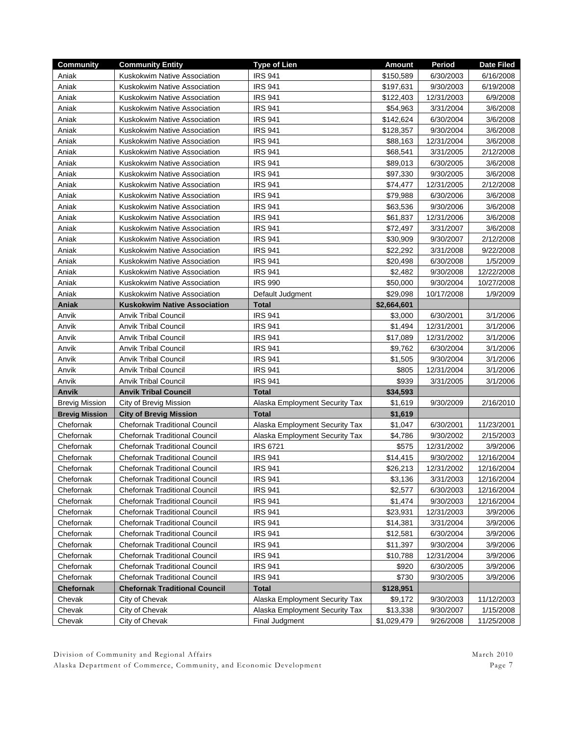| <b>Community</b>      | <b>Community Entity</b>              | <b>Type of Lien</b>            | <b>Amount</b> | Period     | <b>Date Filed</b> |
|-----------------------|--------------------------------------|--------------------------------|---------------|------------|-------------------|
| Aniak                 | Kuskokwim Native Association         | <b>IRS 941</b>                 | \$150,589     | 6/30/2003  | 6/16/2008         |
| Aniak                 | Kuskokwim Native Association         | <b>IRS 941</b>                 | \$197,631     | 9/30/2003  | 6/19/2008         |
| Aniak                 | Kuskokwim Native Association         | <b>IRS 941</b>                 | \$122,403     | 12/31/2003 | 6/9/2008          |
| Aniak                 | Kuskokwim Native Association         | <b>IRS 941</b>                 | \$54,963      | 3/31/2004  | 3/6/2008          |
| Aniak                 | Kuskokwim Native Association         | <b>IRS 941</b>                 | \$142,624     | 6/30/2004  | 3/6/2008          |
| Aniak                 | Kuskokwim Native Association         | <b>IRS 941</b>                 | \$128,357     | 9/30/2004  | 3/6/2008          |
| Aniak                 | Kuskokwim Native Association         | <b>IRS 941</b>                 | \$88,163      | 12/31/2004 | 3/6/2008          |
| Aniak                 | Kuskokwim Native Association         | <b>IRS 941</b>                 | \$68,541      | 3/31/2005  | 2/12/2008         |
| Aniak                 | Kuskokwim Native Association         | <b>IRS 941</b>                 | \$89,013      | 6/30/2005  | 3/6/2008          |
| Aniak                 | Kuskokwim Native Association         | <b>IRS 941</b>                 | \$97,330      | 9/30/2005  | 3/6/2008          |
| Aniak                 | Kuskokwim Native Association         | <b>IRS 941</b>                 | \$74,477      | 12/31/2005 | 2/12/2008         |
| Aniak                 | Kuskokwim Native Association         | <b>IRS 941</b>                 | \$79,988      | 6/30/2006  | 3/6/2008          |
| Aniak                 | Kuskokwim Native Association         | <b>IRS 941</b>                 | \$63,536      | 9/30/2006  | 3/6/2008          |
| Aniak                 | Kuskokwim Native Association         | <b>IRS 941</b>                 | \$61,837      | 12/31/2006 | 3/6/2008          |
| Aniak                 | Kuskokwim Native Association         | <b>IRS 941</b>                 | \$72,497      | 3/31/2007  | 3/6/2008          |
| Aniak                 | Kuskokwim Native Association         | <b>IRS 941</b>                 | \$30,909      | 9/30/2007  | 2/12/2008         |
| Aniak                 | Kuskokwim Native Association         | <b>IRS 941</b>                 | \$22,292      | 3/31/2008  | 9/22/2008         |
| Aniak                 | Kuskokwim Native Association         | <b>IRS 941</b>                 | \$20,498      | 6/30/2008  | 1/5/2009          |
| Aniak                 | Kuskokwim Native Association         | <b>IRS 941</b>                 | \$2,482       | 9/30/2008  | 12/22/2008        |
| Aniak                 | Kuskokwim Native Association         | <b>IRS 990</b>                 | \$50,000      | 9/30/2004  | 10/27/2008        |
| Aniak                 | Kuskokwim Native Association         | Default Judgment               | \$29,098      | 10/17/2008 | 1/9/2009          |
| Aniak                 | <b>Kuskokwim Native Association</b>  | <b>Total</b>                   | \$2,664,601   |            |                   |
| Anvik                 | <b>Anvik Tribal Council</b>          | <b>IRS 941</b>                 | \$3,000       | 6/30/2001  | 3/1/2006          |
| Anvik                 | <b>Anvik Tribal Council</b>          | <b>IRS 941</b>                 | \$1,494       | 12/31/2001 | 3/1/2006          |
| Anvik                 | <b>Anvik Tribal Council</b>          | <b>IRS 941</b>                 | \$17,089      | 12/31/2002 | 3/1/2006          |
| Anvik                 | <b>Anvik Tribal Council</b>          | <b>IRS 941</b>                 | \$9,762       | 6/30/2004  | 3/1/2006          |
| Anvik                 | <b>Anvik Tribal Council</b>          | <b>IRS 941</b>                 | \$1,505       | 9/30/2004  | 3/1/2006          |
| Anvik                 | <b>Anvik Tribal Council</b>          | <b>IRS 941</b>                 | \$805         | 12/31/2004 | 3/1/2006          |
| Anvik                 | <b>Anvik Tribal Council</b>          | <b>IRS 941</b>                 | \$939         | 3/31/2005  | 3/1/2006          |
| Anvik                 | <b>Anvik Tribal Council</b>          | <b>Total</b>                   | \$34,593      |            |                   |
| Brevig Mission        | City of Brevig Mission               | Alaska Employment Security Tax | \$1,619       | 9/30/2009  | 2/16/2010         |
| <b>Brevig Mission</b> | <b>City of Brevig Mission</b>        | <b>Total</b>                   | \$1,619       |            |                   |
| Chefornak             | <b>Chefornak Traditional Council</b> | Alaska Employment Security Tax | \$1,047       | 6/30/2001  | 11/23/2001        |
| Chefornak             | <b>Chefornak Traditional Council</b> | Alaska Employment Security Tax | \$4,786       | 9/30/2002  | 2/15/2003         |
| Chefornak             | <b>Chefornak Traditional Council</b> | <b>IRS 6721</b>                | \$575         | 12/31/2002 | 3/9/2006          |
| Chefornak             | <b>Chefornak Traditional Council</b> | <b>IRS 941</b>                 | \$14,415      | 9/30/2002  | 12/16/2004        |
| Chefornak             | <b>Chefornak Traditional Council</b> | <b>IRS 941</b>                 | \$26,213      | 12/31/2002 | 12/16/2004        |
| Chefornak             | <b>Chefornak Traditional Council</b> | <b>IRS 941</b>                 | \$3,136       | 3/31/2003  | 12/16/2004        |
| Chefornak             | <b>Chefornak Traditional Council</b> | <b>IRS 941</b>                 | \$2,577       | 6/30/2003  | 12/16/2004        |
| Chefornak             | <b>Chefornak Traditional Council</b> | <b>IRS 941</b>                 | \$1,474       | 9/30/2003  | 12/16/2004        |
| Chefornak             | <b>Chefornak Traditional Council</b> | <b>IRS 941</b>                 | \$23,931      | 12/31/2003 | 3/9/2006          |
| Chefornak             | <b>Chefornak Traditional Council</b> | <b>IRS 941</b>                 | \$14,381      | 3/31/2004  | 3/9/2006          |
| Chefornak             | <b>Chefornak Traditional Council</b> | <b>IRS 941</b>                 | \$12,581      | 6/30/2004  | 3/9/2006          |
| Chefornak             | <b>Chefornak Traditional Council</b> | <b>IRS 941</b>                 | \$11,397      | 9/30/2004  | 3/9/2006          |
| Chefornak             | <b>Chefornak Traditional Council</b> | <b>IRS 941</b>                 | \$10,788      | 12/31/2004 | 3/9/2006          |
| Chefornak             | <b>Chefornak Traditional Council</b> | <b>IRS 941</b>                 | \$920         | 6/30/2005  | 3/9/2006          |
| Chefornak             | <b>Chefornak Traditional Council</b> | <b>IRS 941</b>                 | \$730         | 9/30/2005  | 3/9/2006          |
| Chefornak             | <b>Chefornak Traditional Council</b> | <b>Total</b>                   | \$128,951     |            |                   |
| Chevak                | City of Chevak                       | Alaska Employment Security Tax | \$9,172       | 9/30/2003  | 11/12/2003        |
| Chevak                | City of Chevak                       | Alaska Employment Security Tax | \$13,338      | 9/30/2007  | 1/15/2008         |
| Chevak                | City of Chevak                       | Final Judgment                 | \$1,029,479   | 9/26/2008  | 11/25/2008        |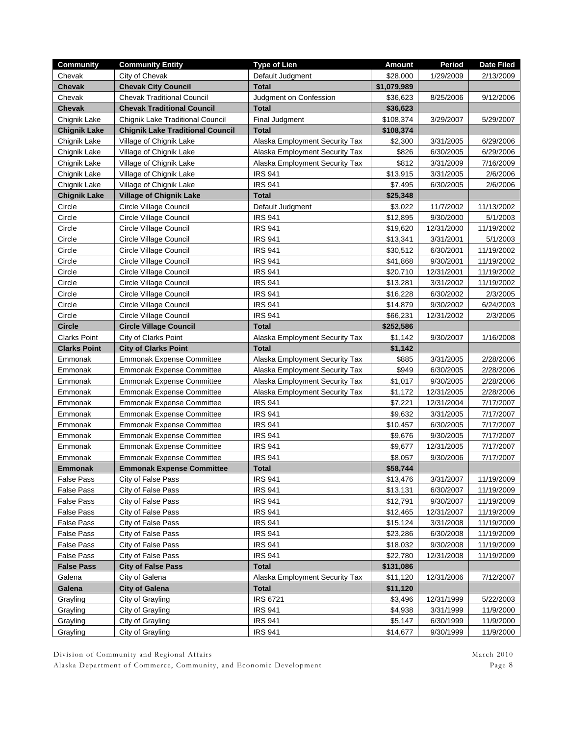| <b>Community</b>    | <b>Community Entity</b>                 | <b>Type of Lien</b>            | <b>Amount</b> | Period     | <b>Date Filed</b> |
|---------------------|-----------------------------------------|--------------------------------|---------------|------------|-------------------|
| Chevak              | City of Chevak                          | Default Judgment               | \$28,000      | 1/29/2009  | 2/13/2009         |
| <b>Chevak</b>       | <b>Chevak City Council</b>              | <b>Total</b>                   | \$1,079,989   |            |                   |
| Chevak              | <b>Chevak Traditional Council</b>       | Judgment on Confession         | \$36,623      | 8/25/2006  | 9/12/2006         |
| <b>Chevak</b>       | <b>Chevak Traditional Council</b>       | <b>Total</b>                   | \$36,623      |            |                   |
| Chignik Lake        | <b>Chignik Lake Traditional Council</b> | Final Judgment                 | \$108,374     | 3/29/2007  | 5/29/2007         |
| <b>Chignik Lake</b> | <b>Chignik Lake Traditional Council</b> | <b>Total</b>                   | \$108,374     |            |                   |
| Chignik Lake        | Village of Chignik Lake                 | Alaska Employment Security Tax | \$2,300       | 3/31/2005  | 6/29/2006         |
| Chignik Lake        | Village of Chignik Lake                 | Alaska Employment Security Tax | \$826         | 6/30/2005  | 6/29/2006         |
| Chignik Lake        | Village of Chignik Lake                 | Alaska Employment Security Tax | \$812         | 3/31/2009  | 7/16/2009         |
| Chignik Lake        | Village of Chignik Lake                 | <b>IRS 941</b>                 | \$13,915      | 3/31/2005  | 2/6/2006          |
| Chignik Lake        | Village of Chignik Lake                 | <b>IRS 941</b>                 | \$7,495       | 6/30/2005  | 2/6/2006          |
| <b>Chignik Lake</b> | <b>Village of Chignik Lake</b>          | <b>Total</b>                   | \$25,348      |            |                   |
| Circle              | Circle Village Council                  | Default Judgment               | \$3,022       | 11/7/2002  | 11/13/2002        |
| Circle              | Circle Village Council                  | <b>IRS 941</b>                 | \$12,895      | 9/30/2000  | 5/1/2003          |
| Circle              | Circle Village Council                  | <b>IRS 941</b>                 | \$19,620      | 12/31/2000 | 11/19/2002        |
| Circle              | Circle Village Council                  | <b>IRS 941</b>                 | \$13,341      | 3/31/2001  | 5/1/2003          |
| Circle              | Circle Village Council                  | <b>IRS 941</b>                 | \$30,512      | 6/30/2001  | 11/19/2002        |
| Circle              | Circle Village Council                  | <b>IRS 941</b>                 | \$41,868      | 9/30/2001  | 11/19/2002        |
| Circle              | Circle Village Council                  | <b>IRS 941</b>                 | \$20,710      | 12/31/2001 | 11/19/2002        |
| Circle              | Circle Village Council                  | <b>IRS 941</b>                 | \$13,281      | 3/31/2002  | 11/19/2002        |
| Circle              | Circle Village Council                  | <b>IRS 941</b>                 | \$16,228      | 6/30/2002  | 2/3/2005          |
| Circle              | Circle Village Council                  | <b>IRS 941</b>                 | \$14,879      | 9/30/2002  | 6/24/2003         |
| Circle              | Circle Village Council                  | <b>IRS 941</b>                 | \$66,231      | 12/31/2002 | 2/3/2005          |
| <b>Circle</b>       | <b>Circle Village Council</b>           | <b>Total</b>                   | \$252,586     |            |                   |
| Clarks Point        | City of Clarks Point                    | Alaska Employment Security Tax | \$1,142       | 9/30/2007  | 1/16/2008         |
| <b>Clarks Point</b> | <b>City of Clarks Point</b>             | <b>Total</b>                   | \$1,142       |            |                   |
| Emmonak             | <b>Emmonak Expense Committee</b>        | Alaska Employment Security Tax | \$885         | 3/31/2005  | 2/28/2006         |
| Emmonak             | <b>Emmonak Expense Committee</b>        | Alaska Employment Security Tax | \$949         | 6/30/2005  | 2/28/2006         |
| Emmonak             | <b>Emmonak Expense Committee</b>        | Alaska Employment Security Tax | \$1,017       | 9/30/2005  | 2/28/2006         |
| Emmonak             | Emmonak Expense Committee               | Alaska Employment Security Tax | \$1,172       | 12/31/2005 | 2/28/2006         |
| Emmonak             | <b>Emmonak Expense Committee</b>        | <b>IRS 941</b>                 | \$7,221       | 12/31/2004 | 7/17/2007         |
| Emmonak             | <b>Emmonak Expense Committee</b>        | <b>IRS 941</b>                 | \$9,632       | 3/31/2005  | 7/17/2007         |
| Emmonak             | <b>Emmonak Expense Committee</b>        | <b>IRS 941</b>                 | \$10,457      | 6/30/2005  | 7/17/2007         |
| Emmonak             | <b>Emmonak Expense Committee</b>        | <b>IRS 941</b>                 | \$9,676       | 9/30/2005  | 7/17/2007         |
| Emmonak             | <b>Emmonak Expense Committee</b>        | <b>IRS 941</b>                 | \$9,677       | 12/31/2005 | 7/17/2007         |
| Emmonak             | <b>Emmonak Expense Committee</b>        | <b>IRS 941</b>                 | \$8,057       | 9/30/2006  | 7/17/2007         |
| <b>Emmonak</b>      | <b>Emmonak Expense Committee</b>        | <b>Total</b>                   | \$58,744      |            |                   |
| <b>False Pass</b>   | City of False Pass                      | <b>IRS 941</b>                 | \$13,476      | 3/31/2007  | 11/19/2009        |
| <b>False Pass</b>   | City of False Pass                      | <b>IRS 941</b>                 | \$13,131      | 6/30/2007  | 11/19/2009        |
| <b>False Pass</b>   | City of False Pass                      | <b>IRS 941</b>                 | \$12,791      | 9/30/2007  | 11/19/2009        |
| <b>False Pass</b>   | City of False Pass                      | <b>IRS 941</b>                 | \$12,465      | 12/31/2007 | 11/19/2009        |
| False Pass          | City of False Pass                      | <b>IRS 941</b>                 | \$15,124      | 3/31/2008  | 11/19/2009        |
| <b>False Pass</b>   | City of False Pass                      | <b>IRS 941</b>                 | \$23,286      | 6/30/2008  | 11/19/2009        |
| <b>False Pass</b>   | City of False Pass                      | <b>IRS 941</b>                 | \$18,032      | 9/30/2008  | 11/19/2009        |
| <b>False Pass</b>   | City of False Pass                      | <b>IRS 941</b>                 | \$22,780      | 12/31/2008 | 11/19/2009        |
| <b>False Pass</b>   | <b>City of False Pass</b>               | <b>Total</b>                   | \$131,086     |            |                   |
| Galena              | City of Galena                          | Alaska Employment Security Tax | \$11,120      | 12/31/2006 | 7/12/2007         |
| Galena              | <b>City of Galena</b>                   | <b>Total</b>                   | \$11,120      |            |                   |
| Grayling            | City of Grayling                        | <b>IRS 6721</b>                | \$3,496       | 12/31/1999 | 5/22/2003         |
| Grayling            | City of Grayling                        | <b>IRS 941</b>                 | \$4,938       | 3/31/1999  | 11/9/2000         |
| Grayling            | City of Grayling                        | <b>IRS 941</b>                 | \$5,147       | 6/30/1999  | 11/9/2000         |
| Grayling            | City of Grayling                        | <b>IRS 941</b>                 | \$14,677      | 9/30/1999  | 11/9/2000         |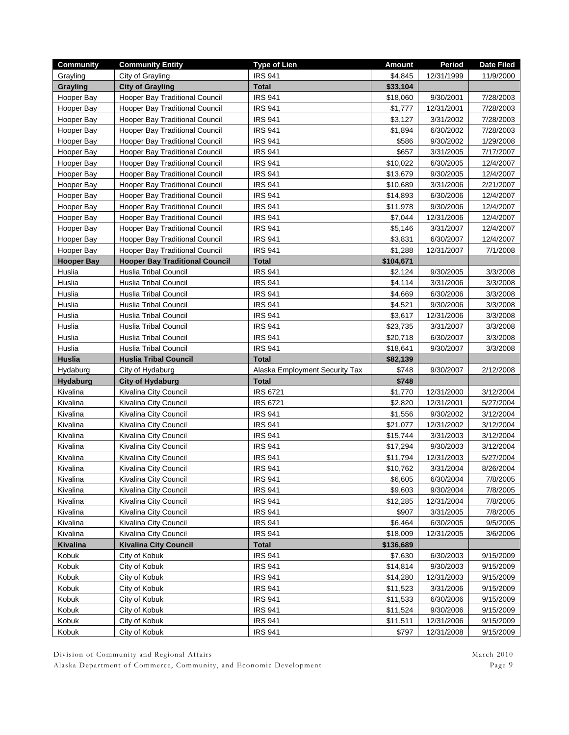| <b>Community</b> | <b>Community Entity</b>               | <b>Type of Lien</b>            | <b>Amount</b> | Period     | <b>Date Filed</b> |
|------------------|---------------------------------------|--------------------------------|---------------|------------|-------------------|
| Grayling         | City of Grayling                      | <b>IRS 941</b>                 | \$4.845       | 12/31/1999 | 11/9/2000         |
| <b>Grayling</b>  | <b>City of Grayling</b>               | <b>Total</b>                   | \$33,104      |            |                   |
| Hooper Bay       | Hooper Bay Traditional Council        | <b>IRS 941</b>                 | \$18,060      | 9/30/2001  | 7/28/2003         |
| Hooper Bay       | Hooper Bay Traditional Council        | <b>IRS 941</b>                 | \$1,777       | 12/31/2001 | 7/28/2003         |
| Hooper Bay       | Hooper Bay Traditional Council        | <b>IRS 941</b>                 | \$3,127       | 3/31/2002  | 7/28/2003         |
| Hooper Bay       | Hooper Bay Traditional Council        | <b>IRS 941</b>                 | \$1,894       | 6/30/2002  | 7/28/2003         |
| Hooper Bay       | Hooper Bay Traditional Council        | <b>IRS 941</b>                 | \$586         | 9/30/2002  | 1/29/2008         |
| Hooper Bay       | Hooper Bay Traditional Council        | <b>IRS 941</b>                 | \$657         | 3/31/2005  | 7/17/2007         |
| Hooper Bay       | <b>Hooper Bay Traditional Council</b> | <b>IRS 941</b>                 | \$10,022      | 6/30/2005  | 12/4/2007         |
| Hooper Bay       | Hooper Bay Traditional Council        | <b>IRS 941</b>                 | \$13,679      | 9/30/2005  | 12/4/2007         |
| Hooper Bay       | Hooper Bay Traditional Council        | <b>IRS 941</b>                 | \$10,689      | 3/31/2006  | 2/21/2007         |
| Hooper Bay       | Hooper Bay Traditional Council        | <b>IRS 941</b>                 | \$14,893      | 6/30/2006  | 12/4/2007         |
| Hooper Bay       | Hooper Bay Traditional Council        | <b>IRS 941</b>                 | \$11,978      | 9/30/2006  | 12/4/2007         |
| Hooper Bay       | Hooper Bay Traditional Council        | <b>IRS 941</b>                 | \$7,044       | 12/31/2006 | 12/4/2007         |
| Hooper Bay       | Hooper Bay Traditional Council        | <b>IRS 941</b>                 | \$5,146       | 3/31/2007  | 12/4/2007         |
| Hooper Bay       | Hooper Bay Traditional Council        | <b>IRS 941</b>                 | \$3,831       | 6/30/2007  | 12/4/2007         |
| Hooper Bay       | <b>Hooper Bay Traditional Council</b> | <b>IRS 941</b>                 | \$1,288       | 12/31/2007 | 7/1/2008          |
| Hooper Bay       | <b>Hooper Bay Traditional Council</b> | <b>Total</b>                   | \$104,671     |            |                   |
| Huslia           | <b>Huslia Tribal Council</b>          | <b>IRS 941</b>                 | \$2,124       | 9/30/2005  | 3/3/2008          |
| Huslia           | <b>Huslia Tribal Council</b>          | <b>IRS 941</b>                 | \$4,114       | 3/31/2006  | 3/3/2008          |
| Huslia           | <b>Huslia Tribal Council</b>          | <b>IRS 941</b>                 | \$4,669       | 6/30/2006  | 3/3/2008          |
| Huslia           | Huslia Tribal Council                 | <b>IRS 941</b>                 | \$4,521       | 9/30/2006  | 3/3/2008          |
| Huslia           | Huslia Tribal Council                 | <b>IRS 941</b>                 | \$3,617       | 12/31/2006 | 3/3/2008          |
| Huslia           | <b>Huslia Tribal Council</b>          | <b>IRS 941</b>                 | \$23,735      | 3/31/2007  | 3/3/2008          |
| Huslia           | <b>Huslia Tribal Council</b>          | <b>IRS 941</b>                 | \$20,718      | 6/30/2007  | 3/3/2008          |
| Huslia           | <b>Huslia Tribal Council</b>          | <b>IRS 941</b>                 | \$18,641      | 9/30/2007  | 3/3/2008          |
| <b>Huslia</b>    | <b>Huslia Tribal Council</b>          | <b>Total</b>                   | \$82,139      |            |                   |
| Hydaburg         | City of Hydaburg                      | Alaska Employment Security Tax | \$748         | 9/30/2007  | 2/12/2008         |
| <b>Hydaburg</b>  | <b>City of Hydaburg</b>               | <b>Total</b>                   | \$748         |            |                   |
| Kivalina         | Kivalina City Council                 | <b>IRS 6721</b>                | \$1,770       | 12/31/2000 | 3/12/2004         |
| Kivalina         | Kivalina City Council                 | <b>IRS 6721</b>                | \$2,820       | 12/31/2001 | 5/27/2004         |
| Kivalina         | Kivalina City Council                 | <b>IRS 941</b>                 | \$1,556       | 9/30/2002  | 3/12/2004         |
| Kivalina         | Kivalina City Council                 | <b>IRS 941</b>                 | \$21,077      | 12/31/2002 | 3/12/2004         |
| Kivalina         | Kivalina City Council                 | <b>IRS 941</b>                 | \$15,744      | 3/31/2003  | 3/12/2004         |
| Kivalina         | Kivalina City Council                 | <b>IRS 941</b>                 | \$17,294      | 9/30/2003  | 3/12/2004         |
| Kivalina         | Kivalina City Council                 | <b>IRS 941</b>                 | \$11,794      | 12/31/2003 | 5/27/2004         |
| Kivalina         | Kivalina City Council                 | <b>IRS 941</b>                 | \$10,762      | 3/31/2004  | 8/26/2004         |
| Kivalina         | Kivalina City Council                 | <b>IRS 941</b>                 | \$6,605       | 6/30/2004  | 7/8/2005          |
| Kivalina         | Kivalina City Council                 | <b>IRS 941</b>                 | \$9,603       | 9/30/2004  | 7/8/2005          |
| Kivalina         | Kivalina City Council                 | <b>IRS 941</b>                 | \$12,285      | 12/31/2004 | 7/8/2005          |
| Kivalina         | Kivalina City Council                 | <b>IRS 941</b>                 | \$907         | 3/31/2005  | 7/8/2005          |
| Kivalina         | Kivalina City Council                 | <b>IRS 941</b>                 | \$6,464       | 6/30/2005  | 9/5/2005          |
| Kivalina         | Kivalina City Council                 | <b>IRS 941</b>                 | \$18,009      | 12/31/2005 | 3/6/2006          |
| <b>Kivalina</b>  | <b>Kivalina City Council</b>          | <b>Total</b>                   | \$136,689     |            |                   |
| Kobuk            | City of Kobuk                         | <b>IRS 941</b>                 | \$7,630       | 6/30/2003  | 9/15/2009         |
| Kobuk            | City of Kobuk                         | <b>IRS 941</b>                 | \$14,814      | 9/30/2003  | 9/15/2009         |
| Kobuk            | City of Kobuk                         | <b>IRS 941</b>                 | \$14,280      | 12/31/2003 | 9/15/2009         |
| Kobuk            | City of Kobuk                         | <b>IRS 941</b>                 | \$11,523      | 3/31/2006  | 9/15/2009         |
| Kobuk            | City of Kobuk                         | <b>IRS 941</b>                 | \$11,533      | 6/30/2006  | 9/15/2009         |
| Kobuk            | City of Kobuk                         | <b>IRS 941</b>                 | \$11,524      | 9/30/2006  | 9/15/2009         |
| Kobuk            | City of Kobuk                         | <b>IRS 941</b>                 | \$11,511      | 12/31/2006 | 9/15/2009         |
| Kobuk            | City of Kobuk                         | <b>IRS 941</b>                 | \$797         | 12/31/2008 | 9/15/2009         |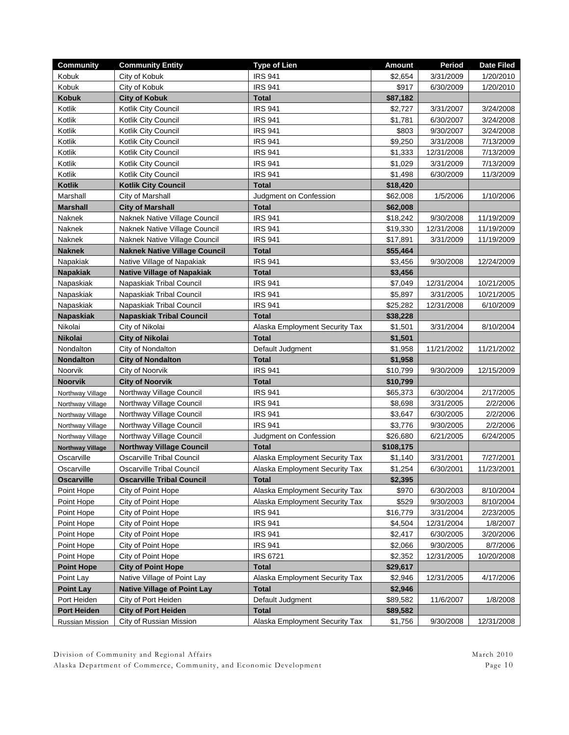| <b>Community</b>               | <b>Community Entity</b>                  | <b>Type of Lien</b>                                              | <b>Amount</b>       | Period                  | <b>Date Filed</b>      |
|--------------------------------|------------------------------------------|------------------------------------------------------------------|---------------------|-------------------------|------------------------|
| Kobuk                          | City of Kobuk                            | <b>IRS 941</b>                                                   | \$2,654             | 3/31/2009               | 1/20/2010              |
| Kobuk                          | City of Kobuk                            | <b>IRS 941</b>                                                   | \$917               | 6/30/2009               | 1/20/2010              |
| <b>Kobuk</b>                   | <b>City of Kobuk</b>                     | <b>Total</b>                                                     | \$87,182            |                         |                        |
| Kotlik                         | Kotlik City Council                      | <b>IRS 941</b>                                                   | \$2,727             | 3/31/2007               | 3/24/2008              |
| Kotlik                         | Kotlik City Council                      | <b>IRS 941</b>                                                   | \$1,781             | 6/30/2007               | 3/24/2008              |
| Kotlik                         | Kotlik City Council                      | <b>IRS 941</b>                                                   | \$803               | 9/30/2007               | 3/24/2008              |
| Kotlik                         | Kotlik City Council                      | <b>IRS 941</b>                                                   | \$9,250             | 3/31/2008               | 7/13/2009              |
| Kotlik                         | Kotlik City Council                      | <b>IRS 941</b>                                                   | \$1,333             | 12/31/2008              | 7/13/2009              |
| Kotlik                         | Kotlik City Council                      | <b>IRS 941</b>                                                   | \$1,029             | 3/31/2009               | 7/13/2009              |
| Kotlik                         | Kotlik City Council                      | <b>IRS 941</b>                                                   | \$1,498             | 6/30/2009               | 11/3/2009              |
| <b>Kotlik</b>                  | <b>Kotlik City Council</b>               | <b>Total</b>                                                     | \$18,420            |                         |                        |
| Marshall                       | City of Marshall                         | Judgment on Confession                                           | \$62,008            | 1/5/2006                | 1/10/2006              |
| <b>Marshall</b>                | <b>City of Marshall</b>                  | <b>Total</b>                                                     | \$62,008            |                         |                        |
| Naknek                         | Naknek Native Village Council            | <b>IRS 941</b>                                                   | \$18,242            | 9/30/2008               | 11/19/2009             |
| Naknek                         | Naknek Native Village Council            | <b>IRS 941</b>                                                   | \$19,330            | 12/31/2008              | 11/19/2009             |
| Naknek                         | Naknek Native Village Council            | <b>IRS 941</b>                                                   | \$17,891            | 3/31/2009               | 11/19/2009             |
| <b>Naknek</b>                  | <b>Naknek Native Village Council</b>     | <b>Total</b>                                                     | \$55,464            |                         |                        |
| Napakiak                       | Native Village of Napakiak               | <b>IRS 941</b>                                                   | \$3,456             | 9/30/2008               | 12/24/2009             |
| <b>Napakiak</b>                | <b>Native Village of Napakiak</b>        | <b>Total</b>                                                     | \$3,456             |                         |                        |
| Napaskiak                      | Napaskiak Tribal Council                 | <b>IRS 941</b>                                                   | \$7,049             | 12/31/2004              | 10/21/2005             |
| Napaskiak                      | Napaskiak Tribal Council                 | <b>IRS 941</b>                                                   | \$5,897             | 3/31/2005               | 10/21/2005             |
| Napaskiak                      | Napaskiak Tribal Council                 | <b>IRS 941</b>                                                   | \$25,282            | 12/31/2008              | 6/10/2009              |
| <b>Napaskiak</b>               | <b>Napaskiak Tribal Council</b>          | <b>Total</b>                                                     | \$38,228            |                         |                        |
| Nikolai                        | City of Nikolai                          | Alaska Employment Security Tax                                   | \$1,501             | 3/31/2004               | 8/10/2004              |
| <b>Nikolai</b>                 | <b>City of Nikolai</b>                   | <b>Total</b>                                                     | \$1,501             |                         |                        |
| Nondalton                      | City of Nondalton                        | Default Judgment                                                 | \$1,958             | 11/21/2002              | 11/21/2002             |
| <b>Nondalton</b>               | <b>City of Nondalton</b>                 | <b>Total</b>                                                     | \$1,958             |                         |                        |
| Noorvik                        | City of Noorvik                          | <b>IRS 941</b>                                                   | \$10,799            | 9/30/2009               | 12/15/2009             |
| <b>Noorvik</b>                 | <b>City of Noorvik</b>                   | <b>Total</b>                                                     | \$10,799            |                         |                        |
| Northway Village               | Northway Village Council                 | <b>IRS 941</b>                                                   | \$65,373            | 6/30/2004               | 2/17/2005              |
| Northway Village               | Northway Village Council                 | <b>IRS 941</b>                                                   | \$8,698             | 3/31/2005               | 2/2/2006               |
| Northway Village               | Northway Village Council                 | <b>IRS 941</b>                                                   | \$3,647             | 6/30/2005               | 2/2/2006               |
| Northway Village               | Northway Village Council                 | <b>IRS 941</b>                                                   | \$3,776             | 9/30/2005               | 2/2/2006               |
| Northway Village               | Northway Village Council                 | Judgment on Confession                                           | \$26,680            | 6/21/2005               | 6/24/2005              |
| <b>Northway Village</b>        | <b>Northway Village Council</b>          | <b>Total</b>                                                     | \$108,175           |                         |                        |
| Oscarville                     | <b>Oscarville Tribal Council</b>         | Alaska Employment Security Tax                                   | \$1,140             | 3/31/2001               | 7/27/2001              |
| Oscarville                     | <b>Oscarville Tribal Council</b>         | Alaska Employment Security Tax                                   | \$1,254             | 6/30/2001               | 11/23/2001             |
| <b>Oscarville</b>              | <b>Oscarville Tribal Council</b>         | <b>Total</b>                                                     | \$2,395             |                         |                        |
| Point Hope                     | City of Point Hope                       | Alaska Employment Security Tax<br>Alaska Employment Security Tax | \$970               | 6/30/2003               | 8/10/2004              |
| Point Hope                     | City of Point Hope<br>City of Point Hope | <b>IRS 941</b>                                                   | \$529               | 9/30/2003               | 8/10/2004<br>2/23/2005 |
| Point Hope<br>Point Hope       | City of Point Hope                       | <b>IRS 941</b>                                                   | \$16,779<br>\$4,504 | 3/31/2004<br>12/31/2004 | 1/8/2007               |
| Point Hope                     | City of Point Hope                       | <b>IRS 941</b>                                                   |                     | 6/30/2005               | 3/20/2006              |
| Point Hope                     |                                          | <b>IRS 941</b>                                                   | \$2,417<br>\$2,066  |                         |                        |
| Point Hope                     | City of Point Hope<br>City of Point Hope | <b>IRS 6721</b>                                                  | \$2,352             | 9/30/2005<br>12/31/2005 | 8/7/2006<br>10/20/2008 |
|                                | <b>City of Point Hope</b>                |                                                                  | \$29,617            |                         |                        |
| <b>Point Hope</b><br>Point Lay | Native Village of Point Lay              | <b>Total</b><br>Alaska Employment Security Tax                   | \$2,946             | 12/31/2005              | 4/17/2006              |
| <b>Point Lay</b>               | <b>Native Village of Point Lay</b>       | <b>Total</b>                                                     | \$2,946             |                         |                        |
| Port Heiden                    | City of Port Heiden                      | Default Judgment                                                 | \$89,582            | 11/6/2007               | 1/8/2008               |
| <b>Port Heiden</b>             | <b>City of Port Heiden</b>               | <b>Total</b>                                                     | \$89,582            |                         |                        |
| Russian Mission                | City of Russian Mission                  | Alaska Employment Security Tax                                   | \$1,756             | 9/30/2008               | 12/31/2008             |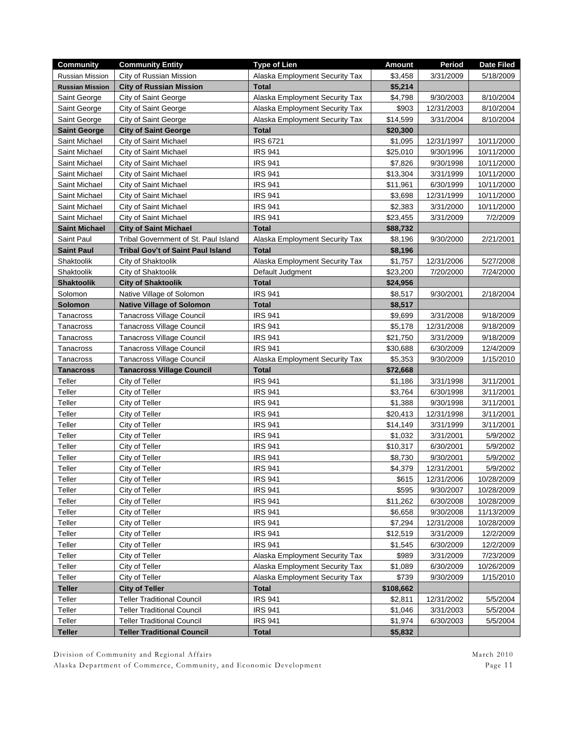| City of Russian Mission<br>Alaska Employment Security Tax<br><b>Russian Mission</b><br>\$3,458<br>3/31/2009<br>5/18/2009<br><b>City of Russian Mission</b><br><b>Total</b><br>\$5,214<br><b>Russian Mission</b><br>9/30/2003<br>8/10/2004<br>Saint George<br>City of Saint George<br>Alaska Employment Security Tax<br>\$4,798<br>City of Saint George<br>Alaska Employment Security Tax<br>\$903<br>12/31/2003<br>8/10/2004<br>Saint George<br>Saint George<br>City of Saint George<br>Alaska Employment Security Tax<br>\$14,599<br>3/31/2004<br>8/10/2004<br><b>City of Saint George</b><br><b>Total</b><br><b>Saint George</b><br>\$20,300<br><b>IRS 6721</b><br>Saint Michael<br>\$1,095<br>12/31/1997<br>10/11/2000<br>City of Saint Michael<br><b>IRS 941</b><br>Saint Michael<br>City of Saint Michael<br>\$25,010<br>9/30/1996<br>10/11/2000<br><b>IRS 941</b><br>\$7,826<br>9/30/1998<br>10/11/2000<br>Saint Michael<br>City of Saint Michael |
|---------------------------------------------------------------------------------------------------------------------------------------------------------------------------------------------------------------------------------------------------------------------------------------------------------------------------------------------------------------------------------------------------------------------------------------------------------------------------------------------------------------------------------------------------------------------------------------------------------------------------------------------------------------------------------------------------------------------------------------------------------------------------------------------------------------------------------------------------------------------------------------------------------------------------------------------------------|
|                                                                                                                                                                                                                                                                                                                                                                                                                                                                                                                                                                                                                                                                                                                                                                                                                                                                                                                                                         |
|                                                                                                                                                                                                                                                                                                                                                                                                                                                                                                                                                                                                                                                                                                                                                                                                                                                                                                                                                         |
|                                                                                                                                                                                                                                                                                                                                                                                                                                                                                                                                                                                                                                                                                                                                                                                                                                                                                                                                                         |
|                                                                                                                                                                                                                                                                                                                                                                                                                                                                                                                                                                                                                                                                                                                                                                                                                                                                                                                                                         |
|                                                                                                                                                                                                                                                                                                                                                                                                                                                                                                                                                                                                                                                                                                                                                                                                                                                                                                                                                         |
|                                                                                                                                                                                                                                                                                                                                                                                                                                                                                                                                                                                                                                                                                                                                                                                                                                                                                                                                                         |
|                                                                                                                                                                                                                                                                                                                                                                                                                                                                                                                                                                                                                                                                                                                                                                                                                                                                                                                                                         |
|                                                                                                                                                                                                                                                                                                                                                                                                                                                                                                                                                                                                                                                                                                                                                                                                                                                                                                                                                         |
|                                                                                                                                                                                                                                                                                                                                                                                                                                                                                                                                                                                                                                                                                                                                                                                                                                                                                                                                                         |
| <b>IRS 941</b><br>\$13,304<br>3/31/1999<br>10/11/2000<br>Saint Michael<br>City of Saint Michael                                                                                                                                                                                                                                                                                                                                                                                                                                                                                                                                                                                                                                                                                                                                                                                                                                                         |
| City of Saint Michael<br><b>IRS 941</b><br>\$11,961<br>6/30/1999<br>10/11/2000<br>Saint Michael                                                                                                                                                                                                                                                                                                                                                                                                                                                                                                                                                                                                                                                                                                                                                                                                                                                         |
| <b>IRS 941</b><br>\$3,698<br>10/11/2000<br>Saint Michael<br>City of Saint Michael<br>12/31/1999                                                                                                                                                                                                                                                                                                                                                                                                                                                                                                                                                                                                                                                                                                                                                                                                                                                         |
| <b>IRS 941</b><br>\$2,383<br>Saint Michael<br>City of Saint Michael<br>3/31/2000<br>10/11/2000                                                                                                                                                                                                                                                                                                                                                                                                                                                                                                                                                                                                                                                                                                                                                                                                                                                          |
| <b>IRS 941</b><br>City of Saint Michael<br>\$23,455<br>3/31/2009<br>7/2/2009<br>Saint Michael                                                                                                                                                                                                                                                                                                                                                                                                                                                                                                                                                                                                                                                                                                                                                                                                                                                           |
| <b>Total</b><br><b>Saint Michael</b><br><b>City of Saint Michael</b><br>\$88,732                                                                                                                                                                                                                                                                                                                                                                                                                                                                                                                                                                                                                                                                                                                                                                                                                                                                        |
| Saint Paul<br>Tribal Government of St. Paul Island<br>\$8,196<br>9/30/2000<br>2/21/2001<br>Alaska Employment Security Tax                                                                                                                                                                                                                                                                                                                                                                                                                                                                                                                                                                                                                                                                                                                                                                                                                               |
| <b>Saint Paul</b><br>Tribal Gov't of Saint Paul Island<br><b>Total</b><br>\$8,196                                                                                                                                                                                                                                                                                                                                                                                                                                                                                                                                                                                                                                                                                                                                                                                                                                                                       |
| Shaktoolik<br>City of Shaktoolik<br>Alaska Employment Security Tax<br>12/31/2006<br>5/27/2008<br>\$1,757                                                                                                                                                                                                                                                                                                                                                                                                                                                                                                                                                                                                                                                                                                                                                                                                                                                |
| Shaktoolik<br>City of Shaktoolik<br>\$23,200<br>7/20/2000<br>7/24/2000<br>Default Judgment                                                                                                                                                                                                                                                                                                                                                                                                                                                                                                                                                                                                                                                                                                                                                                                                                                                              |
| <b>Shaktoolik</b><br><b>City of Shaktoolik</b><br><b>Total</b><br>\$24,956                                                                                                                                                                                                                                                                                                                                                                                                                                                                                                                                                                                                                                                                                                                                                                                                                                                                              |
| <b>IRS 941</b><br>Solomon<br>Native Village of Solomon<br>\$8,517<br>9/30/2001<br>2/18/2004                                                                                                                                                                                                                                                                                                                                                                                                                                                                                                                                                                                                                                                                                                                                                                                                                                                             |
| Solomon<br><b>Total</b><br>\$8,517<br><b>Native Village of Solomon</b>                                                                                                                                                                                                                                                                                                                                                                                                                                                                                                                                                                                                                                                                                                                                                                                                                                                                                  |
| <b>Tanacross Village Council</b><br><b>IRS 941</b><br>\$9,699<br>9/18/2009<br>Tanacross<br>3/31/2008                                                                                                                                                                                                                                                                                                                                                                                                                                                                                                                                                                                                                                                                                                                                                                                                                                                    |
| <b>Tanacross Village Council</b><br><b>IRS 941</b><br>9/18/2009<br>Tanacross<br>\$5,178<br>12/31/2008                                                                                                                                                                                                                                                                                                                                                                                                                                                                                                                                                                                                                                                                                                                                                                                                                                                   |
| <b>IRS 941</b><br>Tanacross<br>Tanacross Village Council<br>\$21,750<br>3/31/2009<br>9/18/2009                                                                                                                                                                                                                                                                                                                                                                                                                                                                                                                                                                                                                                                                                                                                                                                                                                                          |
| <b>Tanacross Village Council</b><br><b>IRS 941</b><br>Tanacross<br>\$30,688<br>6/30/2009<br>12/4/2009                                                                                                                                                                                                                                                                                                                                                                                                                                                                                                                                                                                                                                                                                                                                                                                                                                                   |
| <b>Tanacross Village Council</b><br>\$5,353<br>9/30/2009<br>1/15/2010<br>Tanacross<br>Alaska Employment Security Tax                                                                                                                                                                                                                                                                                                                                                                                                                                                                                                                                                                                                                                                                                                                                                                                                                                    |
| <b>Total</b><br><b>Tanacross</b><br><b>Tanacross Village Council</b><br>\$72,668                                                                                                                                                                                                                                                                                                                                                                                                                                                                                                                                                                                                                                                                                                                                                                                                                                                                        |
| <b>IRS 941</b><br>Teller<br>City of Teller<br>\$1,186<br>3/31/1998<br>3/11/2001                                                                                                                                                                                                                                                                                                                                                                                                                                                                                                                                                                                                                                                                                                                                                                                                                                                                         |
| Teller<br>City of Teller<br><b>IRS 941</b><br>\$3,764<br>6/30/1998<br>3/11/2001                                                                                                                                                                                                                                                                                                                                                                                                                                                                                                                                                                                                                                                                                                                                                                                                                                                                         |
| Teller<br>City of Teller<br><b>IRS 941</b><br>\$1,388<br>9/30/1998<br>3/11/2001                                                                                                                                                                                                                                                                                                                                                                                                                                                                                                                                                                                                                                                                                                                                                                                                                                                                         |
| Teller<br><b>IRS 941</b><br>City of Teller<br>\$20,413<br>12/31/1998<br>3/11/2001                                                                                                                                                                                                                                                                                                                                                                                                                                                                                                                                                                                                                                                                                                                                                                                                                                                                       |
| Teller<br><b>IRS 941</b><br>\$14,149<br>3/31/1999<br>3/11/2001<br>City of Teller                                                                                                                                                                                                                                                                                                                                                                                                                                                                                                                                                                                                                                                                                                                                                                                                                                                                        |
| Teller<br><b>IRS 941</b><br>\$1,032<br>3/31/2001<br>5/9/2002<br>City of Teller                                                                                                                                                                                                                                                                                                                                                                                                                                                                                                                                                                                                                                                                                                                                                                                                                                                                          |
| Teller<br><b>IRS 941</b><br>\$10,317<br>6/30/2001<br>5/9/2002<br>City of Teller                                                                                                                                                                                                                                                                                                                                                                                                                                                                                                                                                                                                                                                                                                                                                                                                                                                                         |
| Teller<br>City of Teller<br><b>IRS 941</b><br>\$8,730<br>9/30/2001<br>5/9/2002                                                                                                                                                                                                                                                                                                                                                                                                                                                                                                                                                                                                                                                                                                                                                                                                                                                                          |
| City of Teller<br><b>IRS 941</b><br>\$4,379<br>5/9/2002<br>Teller<br>12/31/2001                                                                                                                                                                                                                                                                                                                                                                                                                                                                                                                                                                                                                                                                                                                                                                                                                                                                         |
| <b>IRS 941</b><br>\$615<br>12/31/2006<br>Teller<br>City of Teller<br>10/28/2009                                                                                                                                                                                                                                                                                                                                                                                                                                                                                                                                                                                                                                                                                                                                                                                                                                                                         |
| <b>IRS 941</b><br>Teller<br>\$595<br>9/30/2007<br>City of Teller<br>10/28/2009                                                                                                                                                                                                                                                                                                                                                                                                                                                                                                                                                                                                                                                                                                                                                                                                                                                                          |
| <b>IRS 941</b><br>Teller<br>City of Teller<br>\$11,262<br>6/30/2008<br>10/28/2009                                                                                                                                                                                                                                                                                                                                                                                                                                                                                                                                                                                                                                                                                                                                                                                                                                                                       |
| <b>IRS 941</b><br>Teller<br>City of Teller<br>\$6,658<br>9/30/2008<br>11/13/2009                                                                                                                                                                                                                                                                                                                                                                                                                                                                                                                                                                                                                                                                                                                                                                                                                                                                        |
| Teller<br>City of Teller<br><b>IRS 941</b><br>\$7,294<br>12/31/2008<br>10/28/2009                                                                                                                                                                                                                                                                                                                                                                                                                                                                                                                                                                                                                                                                                                                                                                                                                                                                       |
| Teller<br>City of Teller<br><b>IRS 941</b><br>\$12,519<br>3/31/2009<br>12/2/2009                                                                                                                                                                                                                                                                                                                                                                                                                                                                                                                                                                                                                                                                                                                                                                                                                                                                        |
| <b>IRS 941</b><br>Teller<br>\$1,545<br>6/30/2009<br>12/2/2009<br>City of Teller                                                                                                                                                                                                                                                                                                                                                                                                                                                                                                                                                                                                                                                                                                                                                                                                                                                                         |
| Teller<br>\$989<br>7/23/2009<br>City of Teller<br>Alaska Employment Security Tax<br>3/31/2009                                                                                                                                                                                                                                                                                                                                                                                                                                                                                                                                                                                                                                                                                                                                                                                                                                                           |
| Teller<br>\$1,089<br>6/30/2009<br>10/26/2009<br>City of Teller<br>Alaska Employment Security Tax                                                                                                                                                                                                                                                                                                                                                                                                                                                                                                                                                                                                                                                                                                                                                                                                                                                        |
| Teller<br>Alaska Employment Security Tax<br>\$739<br>9/30/2009<br>1/15/2010<br>City of Teller                                                                                                                                                                                                                                                                                                                                                                                                                                                                                                                                                                                                                                                                                                                                                                                                                                                           |
| <b>Teller</b><br><b>City of Teller</b><br><b>Total</b><br>\$108,662                                                                                                                                                                                                                                                                                                                                                                                                                                                                                                                                                                                                                                                                                                                                                                                                                                                                                     |
| Teller<br><b>Teller Traditional Council</b><br><b>IRS 941</b><br>\$2,811<br>12/31/2002<br>5/5/2004                                                                                                                                                                                                                                                                                                                                                                                                                                                                                                                                                                                                                                                                                                                                                                                                                                                      |
| Teller<br><b>IRS 941</b><br>Teller Traditional Council<br>\$1,046<br>3/31/2003<br>5/5/2004                                                                                                                                                                                                                                                                                                                                                                                                                                                                                                                                                                                                                                                                                                                                                                                                                                                              |
| Teller<br><b>Teller Traditional Council</b><br><b>IRS 941</b><br>\$1,974<br>6/30/2003<br>5/5/2004                                                                                                                                                                                                                                                                                                                                                                                                                                                                                                                                                                                                                                                                                                                                                                                                                                                       |
| <b>Teller</b><br><b>Teller Traditional Council</b><br><b>Total</b><br>\$5,832                                                                                                                                                                                                                                                                                                                                                                                                                                                                                                                                                                                                                                                                                                                                                                                                                                                                           |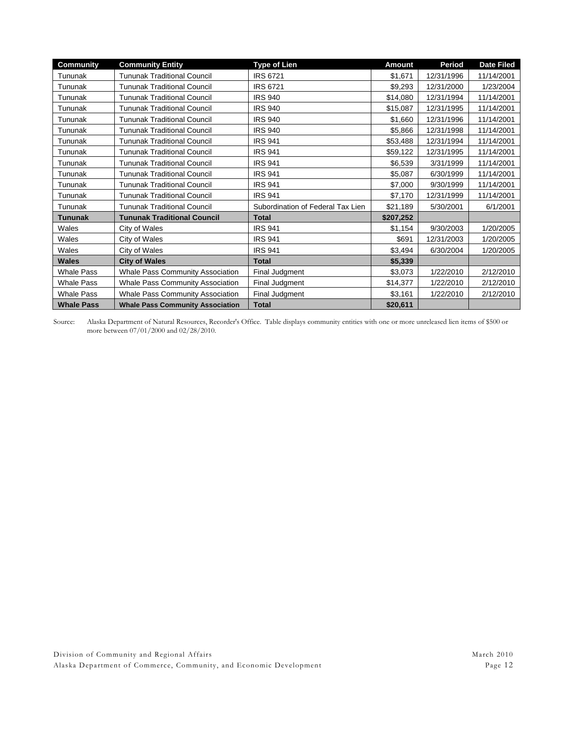| <b>Community</b>  | <b>Community Entity</b>                 | <b>Type of Lien</b>               | <b>Amount</b> | Period     | <b>Date Filed</b> |
|-------------------|-----------------------------------------|-----------------------------------|---------------|------------|-------------------|
| Tununak           | <b>Tununak Traditional Council</b>      | <b>IRS 6721</b>                   | \$1,671       | 12/31/1996 | 11/14/2001        |
| Tununak           | <b>Tununak Traditional Council</b>      | <b>IRS 6721</b>                   | \$9,293       | 12/31/2000 | 1/23/2004         |
| Tununak           | <b>Tununak Traditional Council</b>      | <b>IRS 940</b>                    | \$14,080      | 12/31/1994 | 11/14/2001        |
| Tununak           | <b>Tununak Traditional Council</b>      | <b>IRS 940</b>                    | \$15,087      | 12/31/1995 | 11/14/2001        |
| Tununak           | <b>Tununak Traditional Council</b>      | <b>IRS 940</b>                    | \$1,660       | 12/31/1996 | 11/14/2001        |
| Tununak           | <b>Tununak Traditional Council</b>      | <b>IRS 940</b>                    | \$5,866       | 12/31/1998 | 11/14/2001        |
| Tununak           | <b>Tununak Traditional Council</b>      | <b>IRS 941</b>                    | \$53,488      | 12/31/1994 | 11/14/2001        |
| Tununak           | <b>Tununak Traditional Council</b>      | <b>IRS 941</b>                    | \$59,122      | 12/31/1995 | 11/14/2001        |
| Tununak           | <b>Tununak Traditional Council</b>      | <b>IRS 941</b>                    | \$6,539       | 3/31/1999  | 11/14/2001        |
| Tununak           | <b>Tununak Traditional Council</b>      | <b>IRS 941</b>                    | \$5,087       | 6/30/1999  | 11/14/2001        |
| Tununak           | <b>Tununak Traditional Council</b>      | <b>IRS 941</b>                    | \$7,000       | 9/30/1999  | 11/14/2001        |
| Tununak           | <b>Tununak Traditional Council</b>      | <b>IRS 941</b>                    | \$7,170       | 12/31/1999 | 11/14/2001        |
| Tununak           | <b>Tununak Traditional Council</b>      | Subordination of Federal Tax Lien | \$21,189      | 5/30/2001  | 6/1/2001          |
| <b>Tununak</b>    | <b>Tununak Traditional Council</b>      | <b>Total</b>                      | \$207,252     |            |                   |
| Wales             | City of Wales                           | <b>IRS 941</b>                    | \$1,154       | 9/30/2003  | 1/20/2005         |
| Wales             | City of Wales                           | <b>IRS 941</b>                    | \$691         | 12/31/2003 | 1/20/2005         |
| Wales             | City of Wales                           | <b>IRS 941</b>                    | \$3,494       | 6/30/2004  | 1/20/2005         |
| <b>Wales</b>      | <b>City of Wales</b>                    | <b>Total</b>                      | \$5,339       |            |                   |
| <b>Whale Pass</b> | <b>Whale Pass Community Association</b> | Final Judgment                    | \$3,073       | 1/22/2010  | 2/12/2010         |
| <b>Whale Pass</b> | Whale Pass Community Association        | Final Judgment                    | \$14,377      | 1/22/2010  | 2/12/2010         |
| <b>Whale Pass</b> | <b>Whale Pass Community Association</b> | Final Judgment                    | \$3,161       | 1/22/2010  | 2/12/2010         |
| <b>Whale Pass</b> | <b>Whale Pass Community Association</b> | <b>Total</b>                      | \$20,611      |            |                   |

Source: Alaska Department of Natural Resources, Recorder's Office. Table displays community entities with one or more unreleased lien items of \$500 or more between 07/01/2000 and 02/28/2010.